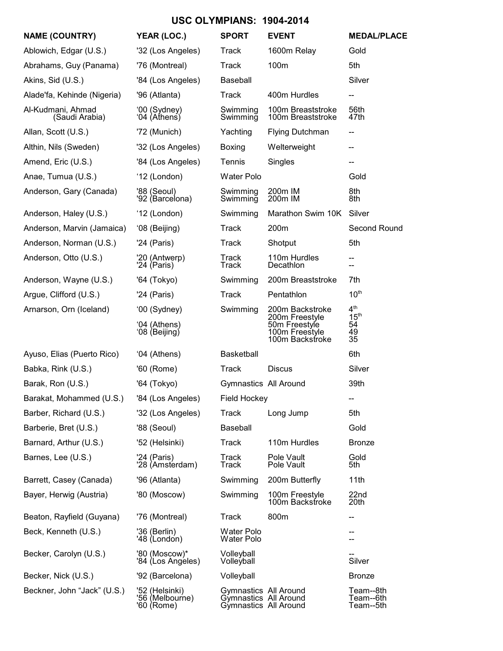# **USC OLYMPIANS: 1904-2014**

| <b>NAME (COUNTRY)</b>               | YEAR (LOC.)                                     | <b>SPORT</b>                                                            | <b>EVENT</b>                                                                            | <b>MEDAL/PLACE</b>                                    |
|-------------------------------------|-------------------------------------------------|-------------------------------------------------------------------------|-----------------------------------------------------------------------------------------|-------------------------------------------------------|
| Ablowich, Edgar (U.S.)              | '32 (Los Angeles)                               | Track                                                                   | 1600m Relay                                                                             | Gold                                                  |
| Abrahams, Guy (Panama)              | '76 (Montreal)                                  | <b>Track</b>                                                            | 100m                                                                                    | 5th                                                   |
| Akins, Sid (U.S.)                   | '84 (Los Angeles)                               | Baseball                                                                |                                                                                         | Silver                                                |
| Alade'fa, Kehinde (Nigeria)         | '96 (Atlanta)                                   | Track                                                                   | 400m Hurdles                                                                            | --                                                    |
| Al-Kudmani, Ahmad<br>(Saudi Arabia) | '00 (Sydney)<br>'04 (Athens)                    | Swimming<br>Swimming                                                    | 100m Breaststroke<br>100m Breaststroke                                                  | 56th<br>47th                                          |
| Allan, Scott (U.S.)                 | '72 (Munich)                                    | Yachting                                                                | <b>Flying Dutchman</b>                                                                  | --                                                    |
| Althin, Nils (Sweden)               | '32 (Los Angeles)                               | <b>Boxing</b>                                                           | Welterweight                                                                            | --                                                    |
| Amend, Eric (U.S.)                  | '84 (Los Angeles)                               | Tennis                                                                  | Singles                                                                                 | --                                                    |
| Anae, Tumua (U.S.)                  | '12 (London)                                    | Water Polo                                                              |                                                                                         | Gold                                                  |
| Anderson, Gary (Canada)             | '88 (Seoul)<br>'92 (Barcelona)                  | Swimming<br>Swimming                                                    | 200m IM<br>200m IM                                                                      | 8th<br>8th                                            |
| Anderson, Haley (U.S.)              | '12 (London)                                    | Swimming                                                                | Marathon Swim 10K                                                                       | Silver                                                |
| Anderson, Marvin (Jamaica)          | '08 (Beijing)                                   | <b>Track</b>                                                            | 200m                                                                                    | Second Round                                          |
| Anderson, Norman (U.S.)             | '24 (Paris)                                     | Track                                                                   | Shotput                                                                                 | 5th                                                   |
| Anderson, Otto (U.S.)               | '20 (Antwerp)<br>'24 (Paris)                    | Track<br>Track                                                          | 110m Hurdles<br>Decathlon                                                               | --<br>--                                              |
| Anderson, Wayne (U.S.)              | '64 (Tokyo)                                     | Swimming                                                                | 200m Breaststroke                                                                       | 7th                                                   |
| Argue, Clifford (U.S.)              | '24 (Paris)                                     | Track                                                                   | Pentathlon                                                                              | 10 <sup>th</sup>                                      |
| Arnarson, Orn (Iceland)             | '00 (Sydney)<br>'04 (Athens)<br>'08 (Beijing)   | Swimming                                                                | 200m Backstroke<br>200m Freestyle<br>50m Freestyle<br>100m Freestyle<br>100m Backstroke | 4 <sup>th</sup><br>$15^{\text{th}}$<br>54<br>49<br>35 |
| Ayuso, Elias (Puerto Rico)          | '04 (Athens)                                    | <b>Basketball</b>                                                       |                                                                                         | 6th                                                   |
| Babka, Rink (U.S.)                  | '60 (Rome)                                      | Track                                                                   | <b>Discus</b>                                                                           | Silver                                                |
| Barak, Ron (U.S.)                   | '64 (Tokyo)                                     | Gymnastics All Around                                                   |                                                                                         | 39th                                                  |
| Barakat, Mohammed (U.S.)            | '84 (Los Angeles)                               | Field Hockey                                                            |                                                                                         |                                                       |
| Barber, Richard (U.S.)              | '32 (Los Angeles)                               | Track                                                                   | Long Jump                                                                               | 5th                                                   |
| Barberie, Bret (U.S.)               | '88 (Seoul)                                     | Baseball                                                                |                                                                                         | Gold                                                  |
| Barnard, Arthur (U.S.)              | '52 (Helsinki)                                  | Track                                                                   | 110m Hurdles                                                                            | <b>Bronze</b>                                         |
| Barnes, Lee (U.S.)                  | '24 (Paris)<br>'28 (Amsterdam)                  | Track<br>Track                                                          | Pole Vault<br>Pole Vault                                                                | Gold<br>5th                                           |
| Barrett, Casey (Canada)             | '96 (Atlanta)                                   | Swimming                                                                | 200m Butterfly                                                                          | 11th                                                  |
| Bayer, Herwig (Austria)             | '80 (Moscow)                                    | Swimming                                                                | 100m Freestyle<br>100m Backstroke                                                       | 22nd<br>20th                                          |
| Beaton, Rayfield (Guyana)           | '76 (Montreal)                                  | Track                                                                   | 800m                                                                                    | --                                                    |
| Beck, Kenneth (U.S.)                | '36 (Berlin)<br>'48 (London)                    | Water Polo<br>Water Polo                                                |                                                                                         |                                                       |
| Becker, Carolyn (U.S.)              | '80 (Moscow)*<br>'84 (Los Angeles)              | Volleyball<br>Volleyball                                                |                                                                                         | Silver                                                |
| Becker, Nick (U.S.)                 | '92 (Barcelona)                                 | Volleyball                                                              |                                                                                         | <b>Bronze</b>                                         |
| Beckner, John "Jack" (U.S.)         | '52 (Helsinki)<br>'56 (Melbourne)<br>'60 (Rome) | Gymnastics All Around<br>Gymnastics All Around<br>Gymnastics All Around |                                                                                         | Team--8th<br>Team--6th<br>Team--5th                   |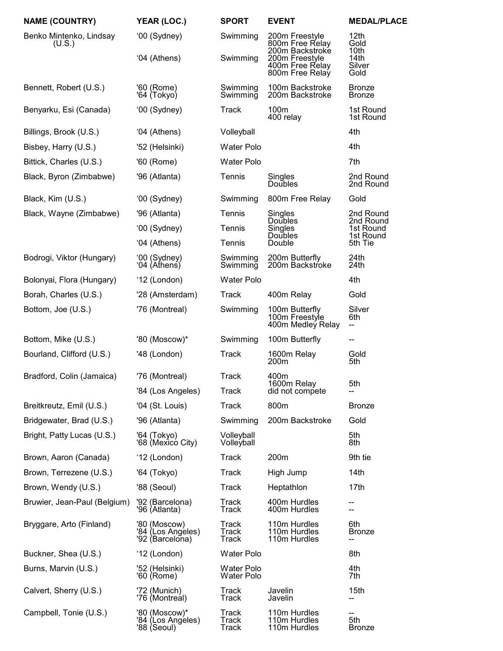| <b>NAME (COUNTRY)</b>             | YEAR (LOC.)                                          | <b>SPORT</b>             | <b>EVENT</b>                                          | <b>MEDAL/PLACE</b>             |
|-----------------------------------|------------------------------------------------------|--------------------------|-------------------------------------------------------|--------------------------------|
| Benko Mintenko, Lindsay<br>(U.S.) | '00 (Sydney)                                         | Swimming                 | 200m Freestyle<br>800m Free Relay<br>200m Backstroke  | 12th<br>Gold<br>10th           |
|                                   | '04 (Athens)                                         | Swimming                 | 200m Freestyle<br>400m Free Relay<br>800m Free Relay  | 14th<br>Silver<br>Gold         |
| Bennett, Robert (U.S.)            | '60 (Rome)<br>'64 (Tokyo)                            | Swimming<br>Swimming     | 100m Backstroke<br>200m Backstroke                    | <b>Bronze</b><br><b>Bronze</b> |
| Benyarku, Esi (Canada)            | '00 (Sydney)                                         | <b>Track</b>             | 100m<br>400 relay                                     | 1st Round<br>1st Round         |
| Billings, Brook (U.S.)            | '04 (Athens)                                         | Volleyball               |                                                       | 4th                            |
| Bisbey, Harry (U.S.)              | '52 (Helsinki)                                       | <b>Water Polo</b>        |                                                       | 4th                            |
| Bittick, Charles (U.S.)           | '60 (Rome)                                           | <b>Water Polo</b>        |                                                       | 7th                            |
| Black, Byron (Zimbabwe)           | '96 (Atlanta)                                        | Tennis                   | Singles<br><b>Doubles</b>                             | 2nd Round<br>2nd Round         |
| Black, Kim (U.S.)                 | '00 (Sydney)                                         | Swimming                 | 800m Free Relay                                       | Gold                           |
| Black, Wayne (Zimbabwe)           | '96 (Atlanta)                                        | Tennis                   | Singles<br>Doubles                                    | 2nd Round<br>2nd Round         |
|                                   | '00 (Sydney)                                         | Tennis                   | Singles<br>Doubles                                    | 1st Round<br>1st Round         |
|                                   | '04 (Athens)                                         | Tennis                   | Double                                                | 5th Tie                        |
| Bodrogi, Viktor (Hungary)         | '00 (Sydney)<br>'04 (Aṫhenś)                         | Swimming<br>Swimming     | 200m Butterfly<br>200m Backstroke                     | 24th<br>24th                   |
| Bolonyai, Flora (Hungary)         | '12 (London)                                         | <b>Water Polo</b>        |                                                       | 4th                            |
| Borah, Charles (U.S.)             | '28 (Amsterdam)                                      | <b>Track</b>             | 400m Relay                                            | Gold                           |
| Bottom, Joe (U.S.)                | '76 (Montreal)                                       | Swimming                 | 100m Butterfly<br>100m Freestyle<br>400m Medley Relay | Silver<br>6th<br>--            |
| Bottom, Mike (U.S.)               | '80 (Moscow)*                                        | Swimming                 | 100m Butterfly                                        | --                             |
| Bourland, Clifford (U.S.)         | '48 (London)                                         | <b>Track</b>             | 1600m Relay<br>200m                                   | Gold<br>5th                    |
| Bradford, Colin (Jamaica)         | '76 (Montreal)                                       | Track                    | 400m<br>1600m Relay                                   | 5th                            |
|                                   | '84 (Los Angeles)                                    | Track                    | did not compete                                       | --                             |
| Breitkreutz, Emil (U.S.)          | '04 (St. Louis)                                      | Track                    | 800m                                                  | <b>Bronze</b>                  |
| Bridgewater, Brad (U.S.)          | '96 (Atlanta)                                        | Swimming                 | 200m Backstroke                                       | Gold                           |
| Bright, Patty Lucas (U.S.)        | '64 (Tokyo)<br>'68 (Mexicó City)                     | Volleyball<br>Volleyball |                                                       | 5th<br>8th                     |
| Brown, Aaron (Canada)             | '12 (London)                                         | <b>Track</b>             | 200m                                                  | 9th tie                        |
| Brown, Terrezene (U.S.)           | '64 (Tokyo)                                          | <b>Track</b>             | High Jump                                             | 14 <sub>th</sub>               |
| Brown, Wendy (U.S.)               | '88 (Seoul)                                          | Track                    | Heptathlon                                            | 17th                           |
| Bruwier, Jean-Paul (Belgium)      | '92 (Barcelona)<br>'96 (Atlanta)                     | Track<br>Track           | 400m Hurdles<br>400m Hurdles                          | --<br>--                       |
| Bryggare, Arto (Finland)          | '80 (Moscow)<br>'84 (Los Angeles)<br>'92 (Barcelona) | Track<br>Track<br>Track  | 110m Hurdles<br>110m Hurdles<br>110m Hurdles          | 6th<br><b>Bronze</b><br>--     |
| Buckner, Shea (U.S.)              | '12 (London)                                         | Water Polo               |                                                       | 8th                            |
| Burns, Marvin (U.S.)              | '52 (Helsinki)<br>'60 (Rome)                         | Water Polo<br>Water Polo |                                                       | 4th<br>7th                     |
| Calvert, Sherry (U.S.)            | '72 (Munich)<br>'76 (Montreal)                       | Track<br>Track           | Javelin<br>Javelin                                    | 15th<br>÷                      |
| Campbell, Tonie (U.S.)            | '80 (Moscow)*<br>'84 (Los Angéles)<br>'88 (Seoul)    | Track<br>Track<br>Track  | 110m Hurdles<br>110m Hurdles<br>110m Hurdles          | --<br>5th<br><b>Bronze</b>     |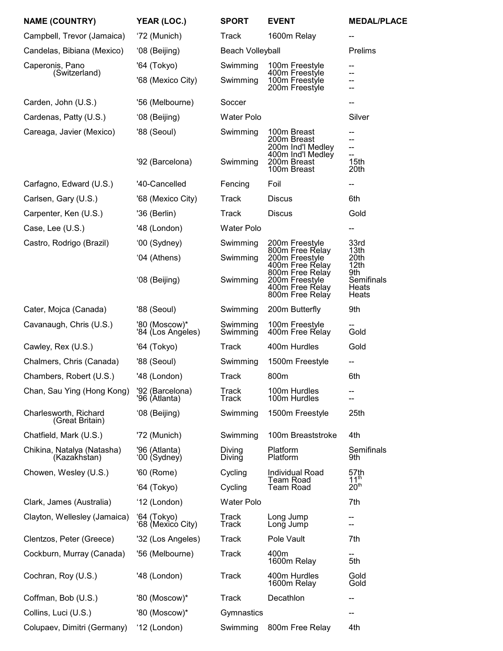| <b>NAME (COUNTRY)</b>                      | YEAR (LOC.)                        | <b>SPORT</b>            | <b>EVENT</b>                                                            | <b>MEDAL/PLACE</b>           |
|--------------------------------------------|------------------------------------|-------------------------|-------------------------------------------------------------------------|------------------------------|
| Campbell, Trevor (Jamaica)                 | '72 (Munich)                       | Track                   | 1600m Relay                                                             |                              |
| Candelas, Bibiana (Mexico)                 | '08 (Beijing)                      | <b>Beach Volleyball</b> |                                                                         | Prelims                      |
| Caperonis, Pano<br>(Switzerland)           | '64 (Tokyo)                        | Swimming                | 100m Freestyle<br>400m Freestyle                                        | --<br>--                     |
|                                            | '68 (Mexico City)                  | Swimming                | 100m Freestyle<br>200m Freestyle                                        | --<br>--                     |
| Carden, John (U.S.)                        | '56 (Melbourne)                    | Soccer                  |                                                                         |                              |
| Cardenas, Patty (U.S.)                     | '08 (Beijing)                      | <b>Water Polo</b>       |                                                                         | Silver                       |
| Careaga, Javier (Mexico)                   | '88 (Seoul)                        | Swimming                | 100m Breast<br>200m Breast<br>200m Ind'l Medley<br>400m Ind'l Medley    | --<br>--<br>--<br>--         |
|                                            | '92 (Barcelona)                    | Swimming                | 200m Breast<br>100m Breast                                              | 15th<br>20th                 |
| Carfagno, Edward (U.S.)                    | '40-Cancelled                      | Fencing                 | Foil                                                                    | --                           |
| Carlsen, Gary (U.S.)                       | '68 (Mexico City)                  | <b>Track</b>            | <b>Discus</b>                                                           | 6th                          |
| Carpenter, Ken (U.S.)                      | '36 (Berlin)                       | Track                   | <b>Discus</b>                                                           | Gold                         |
| Case, Lee (U.S.)                           | '48 (London)                       | <b>Water Polo</b>       |                                                                         | --                           |
| Castro, Rodrigo (Brazil)                   | '00 (Sydney)                       | Swimming                | 200m Freestyle                                                          | 33rd<br>13th                 |
|                                            | '04 (Athens)                       | Swimming                | 800m Free Relay<br>200m Freestyle<br>400m Free Relay                    | 20th<br>12th<br>9th          |
|                                            | '08 (Beijing)                      | Swimming                | 800m Free Relay<br>200m Freestyle<br>400m Free Relay<br>800m Free Relay | Semifinals<br>Heats<br>Heats |
| Cater, Mojca (Canada)                      | '88 (Seoul)                        | Swimming                | 200m Butterfly                                                          | 9th                          |
| Cavanaugh, Chris (U.S.)                    | '80 (Moscow)*<br>'84 (Los Angéles) | Swimming<br>Swimming    | 100m Freestyle<br>400m Free Relay                                       | Gold                         |
| Cawley, Rex (U.S.)                         | '64 (Tokyo)                        | <b>Track</b>            | 400m Hurdles                                                            | Gold                         |
| Chalmers, Chris (Canada)                   | '88 (Seoul)                        | Swimming                | 1500m Freestyle                                                         | --                           |
| Chambers, Robert (U.S.)                    | '48 (London)                       | Track                   | 800m                                                                    | 6th                          |
| Chan, Sau Ying (Hong Kong)                 | '92 (Barcelona)<br>'96 (Atlanta)   | Track<br>Track          | 100m Hurdles<br>100m Hurdles                                            | --<br>--                     |
| Charlesworth, Richard<br>(Great Britain)   | '08 (Beijing)                      | Swimming                | 1500m Freestyle                                                         | 25th                         |
| Chatfield, Mark (U.S.)                     | '72 (Munich)                       | Swimming                | 100m Breaststroke                                                       | 4th                          |
| Chikina, Natalya (Natasha)<br>(Kazakhstan) | '96 (Atlanta)<br>'00 (Sydney)      | Diving<br>Diving        | Platform<br>Platform                                                    | Semifinals<br>9th            |
| Chowen, Wesley (U.S.)                      | '60 (Rome)                         | Cycling                 | <b>Individual Road</b><br>Team Road                                     | 57th<br>11 <sup>th</sup>     |
|                                            | '64 (Tokyo)                        | Cycling                 | <b>Team Road</b>                                                        | 20 <sup>th</sup>             |
| Clark, James (Australia)                   | '12 (London)                       | <b>Water Polo</b>       |                                                                         | 7th                          |
| Clayton, Wellesley (Jamaica)               | '64 (Tokyo)<br>'68 (Mexicó City)   | Track<br>Track          | Long Jump<br>Long Jump                                                  | --                           |
| Clentzos, Peter (Greece)                   | '32 (Los Angeles)                  | Track                   | Pole Vault                                                              | 7th                          |
| Cockburn, Murray (Canada)                  | '56 (Melbourne)                    | <b>Track</b>            | 400m<br>1600m Relay                                                     | 5th                          |
| Cochran, Roy (U.S.)                        | '48 (London)                       | Track                   | 400m Hurdles<br>1600m Relay                                             | Gold<br>Gold                 |
| Coffman, Bob (U.S.)                        | '80 (Moscow)*                      | Track                   | Decathlon                                                               | --                           |
| Collins, Luci (U.S.)                       | '80 (Moscow)*                      | Gymnastics              |                                                                         | --                           |
| Colupaev, Dimitri (Germany)                | '12 (London)                       | Swimming                | 800m Free Relay                                                         | 4th                          |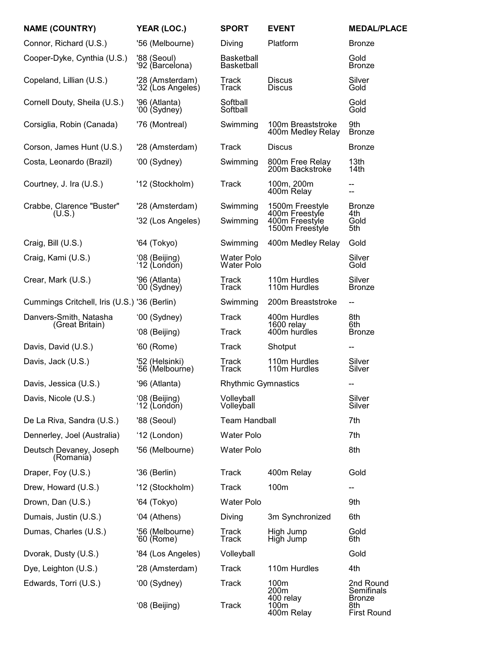| <b>NAME (COUNTRY)</b>                        | YEAR (LOC.)                          | <b>SPORT</b>                           | <b>EVENT</b>                                        | <b>MEDAL/PLACE</b>                       |
|----------------------------------------------|--------------------------------------|----------------------------------------|-----------------------------------------------------|------------------------------------------|
| Connor, Richard (U.S.)                       | '56 (Melbourne)                      | Diving                                 | Platform                                            | <b>Bronze</b>                            |
| Cooper-Dyke, Cynthia (U.S.)                  | '88 (Seoul)<br>'92 (Barcelona)       | <b>Basketball</b><br><b>Basketball</b> |                                                     | Gold<br><b>Bronze</b>                    |
| Copeland, Lillian (U.S.)                     | '28 (Amsterdam)<br>'32 (Los Angeles) | Track<br>Track                         | <b>Discus</b><br><b>Discus</b>                      | Silver<br>Gold                           |
| Cornell Douty, Sheila (U.S.)                 | '96 (Atlanta)<br>'00 (Sydney)        | Softball<br>Softball                   |                                                     | Gold<br>Gold                             |
| Corsiglia, Robin (Canada)                    | '76 (Montreal)                       | Swimming                               | 100m Breaststroke<br>400m Medley Relay              | 9th<br><b>Bronze</b>                     |
| Corson, James Hunt (U.S.)                    | '28 (Amsterdam)                      | Track                                  | <b>Discus</b>                                       | <b>Bronze</b>                            |
| Costa, Leonardo (Brazil)                     | '00 (Sydney)                         | Swimming                               | 800m Free Relay<br>200m Backstroke                  | 13th<br>14 <sub>th</sub>                 |
| Courtney, J. Ira (U.S.)                      | '12 (Stockholm)                      | <b>Track</b>                           | 100m, 200m<br>400m Relay                            | -−                                       |
| Crabbe, Clarence "Buster"                    | '28 (Amsterdam)                      | Swimming                               | 1500m Freestyle                                     | <b>Bronze</b>                            |
| (U.S.)                                       | '32 (Los Angeles)                    | Swimming                               | 400m Freestyle<br>400m Freestyle<br>1500m Freestyle | 4th<br>Gold<br>5th                       |
| Craig, Bill (U.S.)                           | '64 (Tokyo)                          | Swimming                               | 400m Medley Relay                                   | Gold                                     |
| Craig, Kami (U.S.)                           | '08 (Beijing)<br>'12 (London)        | Water Polo<br><b>Water Polo</b>        |                                                     | Silver<br>Gold                           |
| Crear, Mark (U.S.)                           | '96 (Atlanta)<br>'00 (Sydney)        | Track<br><b>Track</b>                  | 110m Hurdles<br>110m Hurdles                        | Silver<br><b>Bronze</b>                  |
| Cummings Critchell, Iris (U.S.) '36 (Berlin) |                                      | Swimming                               | 200m Breaststroke                                   | --                                       |
| Danvers-Smith, Natasha                       | '00 (Sydney)                         | <b>Track</b>                           | 400m Hurdles<br>1600 relay<br>400m hurdles          | 8th<br>6th                               |
| (Great Britain)                              | '08 (Beijing)                        | Track                                  |                                                     | <b>Bronze</b>                            |
| Davis, David (U.S.)                          | '60 (Rome)                           | Track                                  | Shotput                                             | --                                       |
| Davis, Jack (U.S.)                           | '52 (Helsinki)<br>'56 (Melbourne)    | Track<br>Track                         | 110m Hurdles<br>110m Hurdles                        | Silver<br>Silver                         |
| Davis, Jessica (U.S.)                        | '96 (Atlanta)                        | <b>Rhythmic Gymnastics</b>             |                                                     | --                                       |
| Davis, Nicole (U.S.)                         | '08 (Beijing)<br>'12 (London)        | Volleyball<br>Volleyball               |                                                     | Silver<br>Silver                         |
| De La Riva, Sandra (U.S.)                    | '88 (Seoul)                          | <b>Team Handball</b>                   |                                                     | 7th                                      |
| Dennerley, Joel (Australia)                  | '12 (London)                         | <b>Water Polo</b>                      |                                                     | 7th                                      |
| Deutsch Devaney, Joseph<br>(Romania)         | '56 (Melbourne)                      | <b>Water Polo</b>                      |                                                     | 8th                                      |
| Draper, Foy (U.S.)                           | '36 (Berlin)                         | <b>Track</b>                           | 400m Relay                                          | Gold                                     |
| Drew, Howard (U.S.)                          | '12 (Stockholm)                      | <b>Track</b>                           | 100m                                                | -−                                       |
| Drown, Dan (U.S.)                            | '64 (Tokyo)                          | <b>Water Polo</b>                      |                                                     | 9th                                      |
| Dumais, Justin (U.S.)                        | '04 (Athens)                         | Diving                                 | 3m Synchronized                                     | 6th                                      |
| Dumas, Charles (U.S.)                        | '56 (Melbourne)<br>'60 (Rome)        | Track<br><b>Track</b>                  | High Jump<br>High Jump                              | Gold<br>6th                              |
| Dvorak, Dusty (U.S.)                         | '84 (Los Angeles)                    | Volleyball                             |                                                     | Gold                                     |
| Dye, Leighton (U.S.)                         | '28 (Amsterdam)                      | <b>Track</b>                           | 110m Hurdles                                        | 4th                                      |
| Edwards, Torri (U.S.)                        | '00 (Sydney)                         | <b>Track</b>                           | 100m<br>200 <sub>m</sub><br>400 relay               | 2nd Round<br>Semifinals<br><b>Bronze</b> |
|                                              | '08 (Beijing)                        | Track                                  | 100m<br>400m Relay                                  | 8th<br><b>First Round</b>                |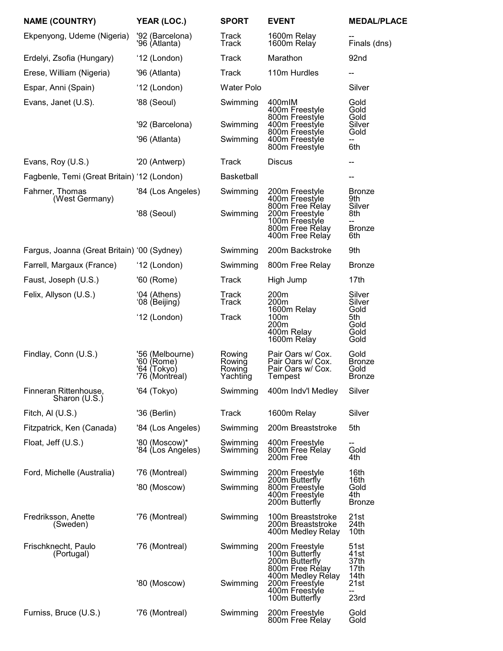| <b>NAME (COUNTRY)</b>                       | YEAR (LOC.)                                                    | <b>SPORT</b>                           | <b>EVENT</b>                                                             | <b>MEDAL/PLACE</b>                             |
|---------------------------------------------|----------------------------------------------------------------|----------------------------------------|--------------------------------------------------------------------------|------------------------------------------------|
| Ekpenyong, Udeme (Nigeria)                  | '92 (Barcelona)<br>'96 (Atlanta)                               | Track<br><b>Track</b>                  | 1600m Relay<br>1600m Relay                                               | Finals (dns)                                   |
| Erdelyi, Zsofia (Hungary)                   | '12 (London)                                                   | <b>Track</b>                           | Marathon                                                                 | 92nd                                           |
| Erese, William (Nigeria)                    | '96 (Atlanta)                                                  | <b>Track</b>                           | 110m Hurdles                                                             |                                                |
| Espar, Anni (Spain)                         | '12 (London)                                                   | <b>Water Polo</b>                      |                                                                          | Silver                                         |
| Evans, Janet (U.S).                         | '88 (Seoul)                                                    | Swimming                               | 400mlM<br>400m Freestyle<br>800m Freestyle                               | Gold<br>Gold<br>Gold                           |
|                                             | '92 (Barcelona)                                                | Swimming                               | 400m Freestyle<br>800m Freestyle                                         | Silver<br>Gold                                 |
|                                             | '96 (Atlanta)                                                  | Swimming                               | 400m Freestyle<br>800m Freestyle                                         | 6th                                            |
| Evans, Roy (U.S.)                           | '20 (Antwerp)                                                  | Track                                  | <b>Discus</b>                                                            | --                                             |
| Fagbenle, Temi (Great Britain) '12 (London) |                                                                | <b>Basketball</b>                      |                                                                          | --                                             |
| Fahrner, Thomas<br>(West Germany)           | '84 (Los Angeles)                                              | Swimming                               | 200m Freestyle<br>400m Freestyle<br>800m Free Relay                      | <b>Bronze</b><br>9th<br>Silver                 |
|                                             | '88 (Seoul)                                                    | Swimming                               | 200m Freestyle<br>100m Freestyle<br>800m Free Relay<br>400m Free Relay   | 8th<br><b>Bronze</b><br>6th                    |
| Fargus, Joanna (Great Britain) '00 (Sydney) |                                                                | Swimming                               | 200m Backstroke                                                          | 9th                                            |
| Farrell, Margaux (France)                   | '12 (London)                                                   | Swimming                               | 800m Free Relay                                                          | <b>Bronze</b>                                  |
| Faust, Joseph (U.S.)                        | '60 (Rome)                                                     | <b>Track</b>                           | High Jump                                                                | 17 <sub>th</sub>                               |
| Felix, Allyson (U.S.)                       | '04 (Athens)<br>'08 (Beijing)                                  | Track<br><b>Track</b>                  | 200m<br>200m<br>1600m Relay<br>100m<br>200m<br>400m Relay<br>1600m Relay | Silver<br>Silver                               |
|                                             | '12 (London)                                                   | <b>Track</b>                           |                                                                          | Gold<br>5th<br>Gold<br>Gold<br>Gold            |
| Findlay, Conn (U.S.)                        | '56 (Melbourne)<br>'60 (Rome)<br>'64 (Tokyo)<br>'76 (Montréal) | Rowing<br>Rowing<br>Rowing<br>Yachting | Pair Oars w/ Cox.<br>Pair Oars w/ Cox.<br>Pair Oars w/ Cox.<br>Tempest   | Gold<br><b>Bronze</b><br>Gold<br><b>Bronze</b> |
| Finneran Rittenhouse,<br>Sharon (U.S.)      | '64 (Tokyo)                                                    | Swimming                               | 400m Indv'l Medley                                                       | Silver                                         |
| Fitch, AI (U.S.)                            | '36 (Berlin)                                                   | <b>Track</b>                           | 1600m Relay                                                              | Silver                                         |
| Fitzpatrick, Ken (Canada)                   | '84 (Los Angeles)                                              | Swimming                               | 200m Breaststroke                                                        | 5th                                            |
| Float, Jeff (U.S.)                          | '80 (Moscow)*<br>'84 (Los Angéles)                             | Swimming<br>Swimming                   | 400m Freestyle<br>800m Free Relay<br>200m Free                           | Gold<br>4th                                    |
| Ford, Michelle (Australia)                  | '76 (Montreal)                                                 | Swimming                               | 200m Freestyle                                                           | 16th                                           |
|                                             | '80 (Moscow)                                                   | Swimming                               | 200m Butterfly<br>800m Freestyle<br>400m Freestyle<br>200m Butterfly     | 16th<br>Gold<br>4th<br><b>Bronze</b>           |
| Fredriksson, Anette<br>(Sweden)             | '76 (Montreal)                                                 | Swimming                               | 100m Breaststroke<br>200m Breaststroke<br>400m Medley Relay              | 21st<br>24th<br>10th                           |
| Frischknecht, Paulo<br>(Portugal)           | '76 (Montreal)                                                 | Swimming                               | 200m Freestyle<br>100m Butterfly<br>200m Butterfly<br>800m Free Rélay    | 51st<br>41st<br>37th<br>17th<br>14th           |
|                                             | '80 (Moscow)                                                   | Swimming                               | 400m Medley Rélay<br>200m Freestyle<br>400m Freestyle<br>100m Butterfly  | 21st<br>--<br>23rd                             |
| Furniss, Bruce (U.S.)                       | '76 (Montreal)                                                 | Swimming                               | 200m Freestyle<br>800m Free Relay                                        | Gold<br>Gold                                   |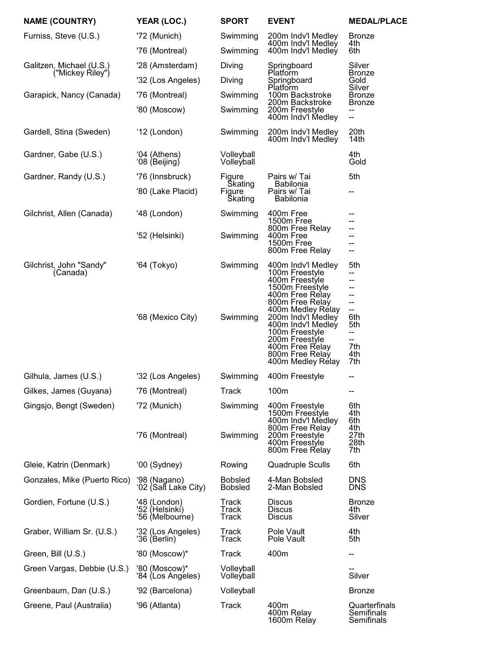| <b>NAME (COUNTRY)</b>                        | YEAR (LOC.)                                       | <b>SPORT</b>                     | <b>EVENT</b>                                                                                                                                                                                                                                                                    | <b>MEDAL/PLACE</b>                                                                     |
|----------------------------------------------|---------------------------------------------------|----------------------------------|---------------------------------------------------------------------------------------------------------------------------------------------------------------------------------------------------------------------------------------------------------------------------------|----------------------------------------------------------------------------------------|
| Furniss, Steve (U.S.)                        | '72 (Munich)                                      | Swimming                         | 200m Indv'l Medley<br>400m Indv'l Medley                                                                                                                                                                                                                                        | <b>Bronze</b><br>4th                                                                   |
|                                              | '76 (Montreal)                                    | Swimming                         | 400m Indv'l Medley                                                                                                                                                                                                                                                              | 6th                                                                                    |
| Galitzen, Michael (U.S.)<br>("Mickey Riley") | '28 (Amsterdam)                                   | Diving                           | Springboard<br>Platform                                                                                                                                                                                                                                                         | Silver<br><b>Bronze</b>                                                                |
|                                              | '32 (Los Angeles)                                 | Diving                           | Springboard<br>Platform                                                                                                                                                                                                                                                         | Gold<br>Silver                                                                         |
| Garapick, Nancy (Canada)                     | '76 (Montreal)                                    | Swimming                         | 100m Backstroke<br>200m Backstroke                                                                                                                                                                                                                                              | <b>Bronze</b><br><b>Bronze</b>                                                         |
|                                              | '80 (Moscow)                                      | Swimming                         | 200m Freestyle<br>400m Indv'l Medley                                                                                                                                                                                                                                            | --<br>--                                                                               |
| Gardell, Stina (Sweden)                      | '12 (London)                                      | Swimming                         | 200m Indv'l Medley<br>400m Indv'l Medley                                                                                                                                                                                                                                        | 20th<br>14th                                                                           |
| Gardner, Gabe (U.S.)                         | '04 (Athens)<br>'08 (Beijing)                     | Volleyball<br>Volleyball         |                                                                                                                                                                                                                                                                                 | 4th<br>Gold                                                                            |
| Gardner, Randy (U.S.)                        | '76 (Innsbruck)                                   | Figure<br><b>Skating</b>         | Pairs w/ Tai<br><b>Babilonia</b>                                                                                                                                                                                                                                                | 5th                                                                                    |
|                                              | '80 (Lake Placid)                                 | Figure<br><b>Skating</b>         | Pairs w/ Tai<br><b>Babilonia</b>                                                                                                                                                                                                                                                | --                                                                                     |
| Gilchrist, Allen (Canada)                    | '48 (London)                                      | Swimming                         | 400m Free<br>1500m Free<br>800m Free Relay                                                                                                                                                                                                                                      | --<br>--                                                                               |
|                                              | '52 (Helsinki)                                    | Swimming                         | 400m Free<br>1500m Free<br>800m Free Relay                                                                                                                                                                                                                                      | --                                                                                     |
| Gilchrist, John "Sandy"<br>(Canada)          | '64 (Tokyo)<br>'68 (Mexico City)                  | Swimming<br>Swimming             | 400m Indv'l Medley<br>100m Freestyle<br>400m Freestyle<br>1500m Freestyle<br>400m Free Relay<br>800m Free Relay<br>400m Medley Rélay<br>200m Indv'l Medley<br>400m Indv'l Medley<br>100m Freestyle<br>200m Freestyle<br>400m Free Relay<br>800m Free Relay<br>400m Medley Rélay | 5th<br>--<br>--<br>--<br>--<br>--<br>--<br>6th<br>5th<br>--<br>--<br>7th<br>4th<br>7th |
| Gilhula, James (U.S.)                        | '32 (Los Angeles)                                 | Swimming                         | 400m Freestyle                                                                                                                                                                                                                                                                  | --                                                                                     |
| Gilkes, James (Guyana)                       | '76 (Montreal)                                    | Track                            | 100m                                                                                                                                                                                                                                                                            | --                                                                                     |
| Gingsjo, Bengt (Sweden)                      | '72 (Munich)<br>'76 (Montreal)                    | Swimming<br>Swimming             | 400m Freestyle<br>1500m Freestyle<br>400m Indv'l Medley<br>800m Free Relay<br>200m Freestyle<br>400m Freestyle<br>800m Free Relay                                                                                                                                               | 6th<br>4th<br>6th<br>4th<br>27th<br>28th<br>7th                                        |
| Gleie, Katrin (Denmark)                      | '00 (Sydney)                                      | Rowing                           | <b>Quadruple Sculls</b>                                                                                                                                                                                                                                                         | 6th                                                                                    |
| Gonzales, Mike (Puerto Rico)                 | '98 (Nagano)<br>'02 (Salt Lake City)              | <b>Bobsled</b><br><b>Bobsled</b> | 4-Man Bobsled<br>2-Man Bobsled                                                                                                                                                                                                                                                  | <b>DNS</b><br><b>DNS</b>                                                               |
| Gordien, Fortune (U.S.)                      | '48 (London)<br>'52 (Helsinkí)<br>'56 (Melbourne) | Track<br>Track<br>Track          | <b>Discus</b><br><b>Discus</b><br><b>Discus</b>                                                                                                                                                                                                                                 | <b>Bronze</b><br>4th<br>Silver                                                         |
| Graber, William Sr. (U.S.)                   | '32 (Los Angeles)<br>'36 (Berlin)                 | Track<br>Track                   | Pole Vault<br>Pole Vault                                                                                                                                                                                                                                                        | 4th<br>5th                                                                             |
| Green, Bill (U.S.)                           | '80 (Moscow)*                                     | Track                            | 400m                                                                                                                                                                                                                                                                            | --                                                                                     |
| Green Vargas, Debbie (U.S.)                  | '80 (Moscow)*<br>'84 (Los Angeles)                | Volleyball<br>Volleyball         |                                                                                                                                                                                                                                                                                 | Silver                                                                                 |
| Greenbaum, Dan (U.S.)                        | '92 (Barcelona)                                   | Volleyball                       |                                                                                                                                                                                                                                                                                 | <b>Bronze</b>                                                                          |
| Greene, Paul (Australia)                     | '96 (Atlanta)                                     | <b>Track</b>                     | 400m<br>400m Relay<br>1600m Relay                                                                                                                                                                                                                                               | Quarterfinals<br>Semifinals<br>Semifinals                                              |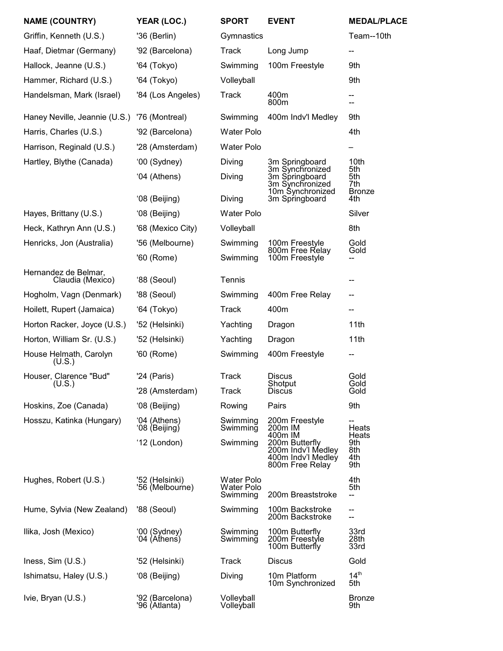| <b>NAME (COUNTRY)</b>                    | YEAR (LOC.)                       | <b>SPORT</b>                                | <b>EVENT</b>                                                                  | <b>MEDAL/PLACE</b>          |
|------------------------------------------|-----------------------------------|---------------------------------------------|-------------------------------------------------------------------------------|-----------------------------|
| Griffin, Kenneth (U.S.)                  | '36 (Berlin)                      | Gymnastics                                  |                                                                               | Team--10th                  |
| Haaf, Dietmar (Germany)                  | '92 (Barcelona)                   | <b>Track</b>                                | Long Jump                                                                     | --                          |
| Hallock, Jeanne (U.S.)                   | '64 (Tokyo)                       | Swimming                                    | 100m Freestyle                                                                | 9th                         |
| Hammer, Richard (U.S.)                   | '64 (Tokyo)                       | Volleyball                                  |                                                                               | 9th                         |
| Handelsman, Mark (Israel)                | '84 (Los Angeles)                 | <b>Track</b>                                | 400m<br>800m                                                                  | --<br>--                    |
| Haney Neville, Jeannie (U.S.)            | '76 (Montreal)                    | Swimming                                    | 400m Indv'l Medley                                                            | 9th                         |
| Harris, Charles (U.S.)                   | '92 (Barcelona)                   | Water Polo                                  |                                                                               | 4th                         |
| Harrison, Reginald (U.S.)                | '28 (Amsterdam)                   | Water Polo                                  |                                                                               |                             |
| Hartley, Blythe (Canada)                 | '00 (Sydney)                      | Diving                                      | 3m Springboard<br>3m Synchronized                                             | 10th<br>5th                 |
|                                          | '04 (Athens)                      | Diving                                      | 3m Springboard<br>3m Synchronized<br>10m Synchronized                         | 5th<br>7th<br><b>Bronze</b> |
|                                          | '08 (Beijing)                     | Diving                                      | 3m Springboard                                                                | 4th                         |
| Hayes, Brittany (U.S.)                   | '08 (Beijing)                     | <b>Water Polo</b>                           |                                                                               | Silver                      |
| Heck, Kathryn Ann (U.S.)                 | '68 (Mexico City)                 | Volleyball                                  |                                                                               | 8th                         |
| Henricks, Jon (Australia)                | '56 (Melbourne)                   | Swimming                                    | 100m Freestyle<br>800m Free Relay                                             | Gold<br>Gold                |
|                                          | '60 (Rome)                        | Swimming                                    | 100m Freestyle                                                                |                             |
| Hernandez de Belmar,<br>Claudia (Mexico) | '88 (Seoul)                       | Tennis                                      |                                                                               |                             |
| Hogholm, Vagn (Denmark)                  | '88 (Seoul)                       | Swimming                                    | 400m Free Relay                                                               | --                          |
| Hoilett, Rupert (Jamaica)                | '64 (Tokyo)                       | <b>Track</b>                                | 400m                                                                          | --                          |
| Horton Racker, Joyce (U.S.)              | '52 (Helsinki)                    | Yachting                                    | Dragon                                                                        | 11th                        |
| Horton, William Sr. (U.S.)               | '52 (Helsinki)                    | Yachting                                    | Dragon                                                                        | 11th                        |
| House Helmath, Carolyn<br>(U.S.)         | '60 (Rome)                        | Swimming                                    | 400m Freestyle                                                                | --                          |
| Houser, Clarence "Bud"                   | '24 (Paris)                       | <b>Track</b>                                | <b>Discus</b>                                                                 | Gold<br>Gold                |
| (U.S.)                                   | '28 (Amsterdam)                   | Track                                       | Shotput<br><b>Discus</b>                                                      | Gold                        |
| Hoskins, Zoe (Canada)                    | '08 (Beijing)                     | Rowing                                      | Pairs                                                                         | 9th                         |
| Hosszu, Katinka (Hungary)                | '04 (Athens)<br>'08 (Beijing)     | Swimming<br>Swimming                        | 200m Freestyle<br>200m IM<br>400m IM                                          | Heats<br>Heats              |
|                                          | '12 (London)                      | Swimming                                    | 200m Butterfly<br>200m Indv'l Medley<br>400m Indv'l Medley<br>800m Free Relay | 9th<br>8th<br>4th<br>9th    |
| Hughes, Robert (U.S.)                    | '52 (Helsinki)<br>'56 (Melbourne) | <b>Water Polo</b><br>Water Polo<br>Swimming | 200m Breaststroke                                                             | 4th<br>5th<br>--            |
| Hume, Sylvia (New Zealand)               | '88 (Seoul)                       | Swimming                                    | 100m Backstroke<br>200m Backstroke                                            | --<br>--                    |
| Ilika, Josh (Mexico)                     | '00 (Sydney)<br>'04 (Athens)      | Swimming<br>Swimming                        | 100m Butterfly<br>200m Freestyle<br>100m Butterfly                            | 33rd<br>28th<br>33rd        |
| Iness, Sim (U.S.)                        | '52 (Helsinki)                    | <b>Track</b>                                | <b>Discus</b>                                                                 | Gold                        |
| Ishimatsu, Haley (U.S.)                  | '08 (Beijing)                     | Diving                                      | 10m Platform<br>10m Synchronized                                              | 14 <sup>th</sup><br>5th     |
| Ivie, Bryan (U.S.)                       | '92 (Barcelona)<br>'96 (Atlanta)  | Volleyball<br>Volleyball                    |                                                                               | <b>Bronze</b><br>9th        |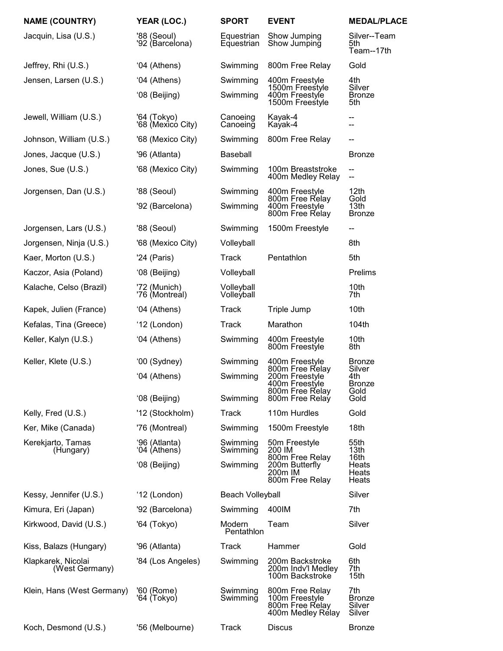| <b>NAME (COUNTRY)</b>                | YEAR (LOC.)                      | <b>SPORT</b>             | <b>EVENT</b>                                                              | <b>MEDAL/PLACE</b>                       |
|--------------------------------------|----------------------------------|--------------------------|---------------------------------------------------------------------------|------------------------------------------|
| Jacquin, Lisa (U.S.)                 | '88 (Seoul)<br>'92 (Barcelona)   | Equestrian<br>Equestrian | Show Jumping<br>Show Jumping                                              | Silver--Team<br>5th.<br>Team--17th       |
| Jeffrey, Rhi (U.S.)                  | '04 (Athens)                     | Swimming                 | 800m Free Relay                                                           | Gold                                     |
| Jensen, Larsen (U.S.)                | '04 (Athens)                     | Swimming                 | 400m Freestyle                                                            | 4th                                      |
|                                      | '08 (Beijing)                    | Swimming                 | 1500m Freestyle<br>400m Freestyle<br>1500m Freestyle                      | Silver<br><b>Bronze</b><br>5th           |
| Jewell, William (U.S.)               | '64 (Tokyo)<br>'68 (Mexicó City) | Canoeing<br>Canoeing     | Kayak-4<br>Kayak-4                                                        | --<br>--                                 |
| Johnson, William (U.S.)              | '68 (Mexico City)                | Swimming                 | 800m Free Relay                                                           | --                                       |
| Jones, Jacque (U.S.)                 | '96 (Atlanta)                    | <b>Baseball</b>          |                                                                           | <b>Bronze</b>                            |
| Jones, Sue (U.S.)                    | '68 (Mexico City)                | Swimming                 | 100m Breaststroke<br>400m Medley Relay                                    | --<br>--                                 |
| Jorgensen, Dan (U.S.)                | '88 (Seoul)                      | Swimming                 | 400m Freestyle<br>800m Free Relay                                         | 12th<br>Gold                             |
|                                      | '92 (Barcelona)                  | Swimming                 | 400m Freestyle<br>800m Free Relay                                         | 13th<br><b>Bronze</b>                    |
| Jorgensen, Lars (U.S.)               | '88 (Seoul)                      | Swimming                 | 1500m Freestyle                                                           | --                                       |
| Jorgensen, Ninja (U.S.)              | '68 (Mexico City)                | Volleyball               |                                                                           | 8th                                      |
| Kaer, Morton (U.S.)                  | '24 (Paris)                      | Track                    | Pentathlon                                                                | 5th                                      |
| Kaczor, Asia (Poland)                | '08 (Beijing)                    | Volleyball               |                                                                           | Prelims                                  |
| Kalache, Celso (Brazil)              | '72 (Munich)<br>'76 (Montreal)   | Volleyball<br>Volleyball |                                                                           | 10th<br>7th                              |
| Kapek, Julien (France)               | '04 (Athens)                     | Track                    | Triple Jump                                                               | 10th                                     |
| Kefalas, Tina (Greece)               | '12 (London)                     | Track                    | Marathon                                                                  | 104th                                    |
| Keller, Kalyn (U.S.)                 | '04 (Athens)                     | Swimming                 | 400m Freestyle<br>800m Freestyle                                          | 10th<br>8th                              |
| Keller, Klete (U.S.)                 | '00 (Sydney)                     | Swimming                 | 400m Freestyle<br>800m Free Relay                                         | <b>Bronze</b><br>Silver                  |
|                                      | '04 (Athens)                     | Swimming                 | 200m Freestyle<br>400m Freestyle<br>800m Free Relay                       | 4th<br><b>Bronze</b><br>Gold             |
|                                      | '08 (Beijing)                    | Swimming                 | 800m Free Relay                                                           | Gold                                     |
| Kelly, Fred (U.S.)                   | '12 (Stockholm)                  | Track                    | 110m Hurdles                                                              | Gold                                     |
| Ker, Mike (Canada)                   | '76 (Montreal)                   | Swimming                 | 1500m Freestyle                                                           | 18th                                     |
| Kerekjarto, Tamas<br>(Hungary)       | '96 (Atlanta)<br>'04 (Athens)    | Swimming<br>Swimming     | 50m Freestyle<br>200 IM<br>800m Free Relay                                | 55th<br>13th<br>16th                     |
|                                      | '08 (Beijing)                    | Swimming                 | 200m Butterfly<br>200m IM<br>800m Free Relay                              | Heats<br>Heats<br>Heats                  |
| Kessy, Jennifer (U.S.)               | '12 (London)                     | <b>Beach Volleyball</b>  |                                                                           | Silver                                   |
| Kimura, Eri (Japan)                  | '92 (Barcelona)                  | Swimming                 | 400IM                                                                     | 7th                                      |
| Kirkwood, David (U.S.)               | '64 (Tokyo)                      | Modern<br>Pentathlon     | Team                                                                      | Silver                                   |
| Kiss, Balazs (Hungary)               | '96 (Atlanta)                    | Track                    | Hammer                                                                    | Gold                                     |
| Klapkarek, Nicolai<br>(West Germany) | '84 (Los Angeles)                | Swimming                 | 200m Backstroke<br>200m Indv'l Medley<br>100m Backstroke                  | 6th<br>7th<br>15th                       |
| Klein, Hans (West Germany)           | '60 (Rome)<br>'64 (Tokyo)        | Swimming<br>Swimming     | 800m Free Relay<br>100m Freestyle<br>800m Free Relay<br>400m Medley Rélay | 7th<br><b>Bronze</b><br>Silver<br>Silver |
| Koch, Desmond (U.S.)                 | '56 (Melbourne)                  | Track                    | <b>Discus</b>                                                             | <b>Bronze</b>                            |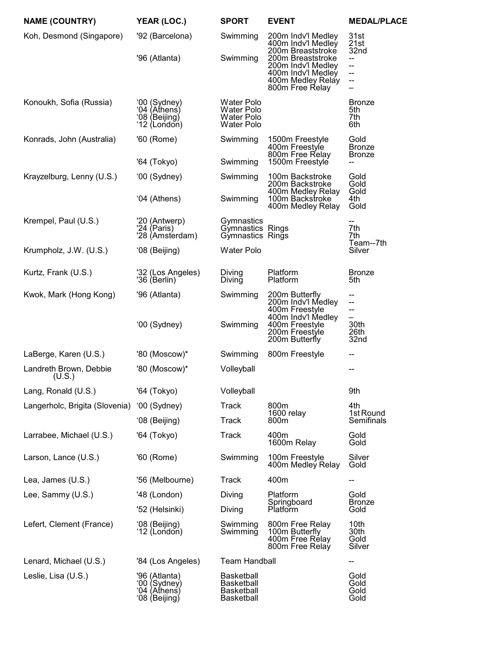| <b>NAME (COUNTRY)</b>            | YEAR (LOC.)                                                     | <b>SPORT</b>                                                       | <b>EVENT</b>                                                                                          | <b>MEDAL/PLACE</b>                     |
|----------------------------------|-----------------------------------------------------------------|--------------------------------------------------------------------|-------------------------------------------------------------------------------------------------------|----------------------------------------|
| Koh, Desmond (Singapore)         | '92 (Barcelona)                                                 | Swimming                                                           | 200m Indv'l Medley<br>400m Indv'l Medley<br>200m Breaststroke                                         | 31st<br>21st<br>32nd                   |
|                                  | '96 (Atlanta)                                                   | Swimming                                                           | 200m Breaststroke<br>200m Indv'l Medley<br>400m Indv'l Medley<br>400m Medley Relay<br>800m Free Relay | --<br>--<br>--<br>--<br>—              |
| Konoukh, Sofia (Russia)          | '00 (Sydney)<br>'04 (̀Athenś)<br>'08 (Beijing)<br>'12 (London)  | <b>Water Polo</b><br>Water Polo<br>Water Polo<br><b>Water Polo</b> |                                                                                                       | <b>Bronze</b><br>5th<br>7th<br>6th     |
| Konrads, John (Australia)        | '60 (Rome)                                                      | Swimming                                                           | 1500m Freestyle<br>400m Freestyle<br>800m Free Relay                                                  | Gold<br><b>Bronze</b><br><b>Bronze</b> |
|                                  | '64 (Tokyo)                                                     | Swimming                                                           | 1500m Freestyle                                                                                       | --                                     |
| Krayzelburg, Lenny (U.S.)        | '00 (Sydney)                                                    | Swimming                                                           | 100m Backstroke<br>200m Backstroke                                                                    | Gold<br>Gold<br>Gold                   |
|                                  | '04 (Athens)                                                    | Swimming                                                           | 400m Medley Relay<br>100m Backstroke<br>400m Medley Relay                                             | 4th<br>Gold                            |
| Krempel, Paul (U.S.)             | '20 (Antwerp)<br>'24 (Paris)<br>'28 (Amsterdam)                 | Gymnastics<br>Gymnastics Rings<br>Gymnastics Rings                 |                                                                                                       | 7th<br>7th                             |
| Krumpholz, J.W. (U.S.)           | '08 (Beijing)                                                   | <b>Water Polo</b>                                                  |                                                                                                       | Team--7th<br>Silver                    |
| Kurtz, Frank (U.S.)              | '32 (Los Angeles)<br>'36 (Berlin)                               | Diving<br>Diving                                                   | Platform<br>Platform                                                                                  | <b>Bronze</b><br>5th                   |
| Kwok, Mark (Hong Kong)           | '96 (Atlanta)                                                   | Swimming                                                           | 200m Butterfly<br>200m Indv'l Medley<br>400m Freestyle<br>400m Indv'l Medley<br>400m Freestyle        | --<br>--<br>--<br>—                    |
|                                  | '00 (Sydney)                                                    | Swimming                                                           | 200m Freestyle<br>200m Butterfly                                                                      | 30th<br>26th<br>32nd                   |
| LaBerge, Karen (U.S.)            | '80 (Moscow)*                                                   | Swimming                                                           | 800m Freestyle                                                                                        | --                                     |
| Landreth Brown, Debbie<br>(U.S.) | '80 (Moscow)*                                                   | Volleyball                                                         |                                                                                                       |                                        |
| Lang, Ronald (U.S.)              | '64 (Tokyo)                                                     | Volleyball                                                         |                                                                                                       | 9th                                    |
| Langerholc, Brigita (Slovenia)   | '00 (Sydney)                                                    | <b>Track</b>                                                       | 800m                                                                                                  | 4th                                    |
|                                  | '08 (Beijing)                                                   | Track                                                              | 1600 relay<br>800m                                                                                    | 1st Round<br>Semifinals                |
| Larrabee, Michael (U.S.)         | '64 (Tokyo)                                                     | <b>Track</b>                                                       | 400m<br>1600m Relay                                                                                   | Gold<br>Gold                           |
| Larson, Lance (U.S.)             | '60 (Rome)                                                      | Swimming                                                           | 100m Freestyle<br>400m Medley Relay                                                                   | Silver<br>Gold                         |
| Lea, James (U.S.)                | '56 (Melbourne)                                                 | <b>Track</b>                                                       | 400m                                                                                                  | --                                     |
| Lee, Sammy (U.S.)                | '48 (London)                                                    | Diving                                                             | Platform                                                                                              | Gold                                   |
|                                  | '52 (Helsinki)                                                  | Diving                                                             | Springboard<br>Platform                                                                               | <b>Bronze</b><br>Gold                  |
| Lefert, Clement (France)         | '08 (Beijing)<br>'12 (London)                                   | Swimming<br>Swimming                                               | 800m Free Relay<br>100m Butterfly<br>400m Free Relay<br>800m Free Relay                               | 10th<br>30th<br>Gold<br>Silver         |
| Lenard, Michael (U.S.)           | '84 (Los Angeles)                                               | <b>Team Handball</b>                                               |                                                                                                       | --                                     |
| Leslie, Lisa (U.S.)              | '96 (Atlanta)<br>'00 (Sydney)<br>'04 (̀Athenś)<br>'08 (Beijing) | <b>Basketball</b><br>Basketball<br><b>Basketball</b><br>Basketball |                                                                                                       | Gold<br>Gold<br>Gold<br>Gold           |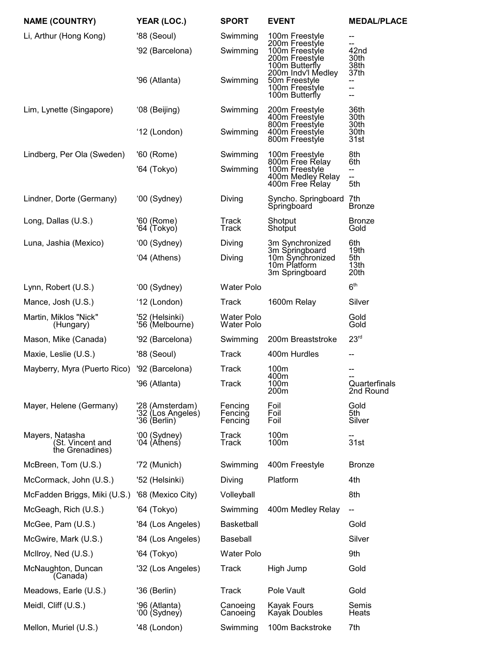| <b>NAME (COUNTRY)</b>                                  | YEAR (LOC.)                                          | <b>SPORT</b>                    | <b>EVENT</b>                                                                               | <b>MEDAL/PLACE</b>               |
|--------------------------------------------------------|------------------------------------------------------|---------------------------------|--------------------------------------------------------------------------------------------|----------------------------------|
| Li, Arthur (Hong Kong)                                 | '88 (Seoul)                                          | Swimming                        | 100m Freestyle                                                                             | --<br>--                         |
|                                                        | '92 (Barcelona)                                      | Swimming                        | 200m Freestyle<br>100m Freestyle<br>200m Freestyle<br>100m Butterfly<br>200m Indv'l Medley | 42nd<br>30th<br>38th<br>37th     |
|                                                        | '96 (Atlanta)                                        | Swimming                        | 50m Freestyle<br>100m Freestyle<br>100m Butterfly                                          | --<br>--<br>--                   |
| Lim, Lynette (Singapore)                               | '08 (Beijing)                                        | Swimming                        | 200m Freestyle<br>400m Freestyle                                                           | 36th<br>30th                     |
|                                                        | '12 (London)                                         | Swimming                        | 800m Freestyle<br>400m Freestyle<br>800m Freestyle                                         | 30th<br>30th<br>31st             |
| Lindberg, Per Ola (Sweden)                             | '60 (Rome)                                           | Swimming                        | 100m Freestyle<br>800m Free Relay                                                          | 8th<br>6th                       |
|                                                        | '64 (Tokyo)                                          | Swimming                        | 100m Freestyle<br>400m Medley Relay<br>400m Free Relay                                     | --<br>--<br>5th                  |
| Lindner, Dorte (Germany)                               | '00 (Sydney)                                         | Diving                          | Syncho. Springboard 7th<br>Springboard                                                     | <b>Bronze</b>                    |
| Long, Dallas (U.S.)                                    | '60 (Rome)<br>'64 (Tokyo)                            | Track<br>Track                  | Shotput<br>Shotput                                                                         | <b>Bronze</b><br>Gold            |
| Luna, Jashia (Mexico)                                  | '00 (Sydney)                                         | Diving                          | 3m Synchronized                                                                            | 6th                              |
|                                                        | '04 (Athens)                                         | Diving                          | 3m Springboard<br>10m Synchronized<br>10m Platform<br>3m Springboard                       | 19th<br>5th<br>13th<br>20th      |
| Lynn, Robert (U.S.)                                    | '00 (Sydney)                                         | <b>Water Polo</b>               |                                                                                            | 6 <sup>th</sup>                  |
| Mance, Josh (U.S.)                                     | '12 (London)                                         | Track                           | 1600m Relay                                                                                | Silver                           |
| Martin, Miklos "Nick"<br>(Hungary)                     | '52 (Helsinki)<br>'56 (Melbourne)                    | <b>Water Polo</b><br>Water Polo |                                                                                            | Gold<br>Gold                     |
| Mason, Mike (Canada)                                   | '92 (Barcelona)                                      | Swimming                        | 200m Breaststroke                                                                          | 23 <sup>rd</sup>                 |
| Maxie, Leslie (U.S.)                                   | '88 (Seoul)                                          | <b>Track</b>                    | 400m Hurdles                                                                               | --                               |
| Mayberry, Myra (Puerto Rico)                           | '92 (Barcelona)                                      | <b>Track</b>                    | 100m<br>400m                                                                               |                                  |
|                                                        | '96 (Atlanta)                                        | <b>Track</b>                    | 100m<br>200 <sub>m</sub>                                                                   | --<br>Quarterfinals<br>2nd Round |
| Mayer, Helene (Germany)                                | '28 (Amsterdam)<br>'32 (Los Angeles)<br>'36 (Berlin) | Fencing<br>Fencing<br>Fencing   | Foil<br>Foil<br>Foil                                                                       | Gold<br>5th<br>Silver            |
| Mayers, Natasha<br>(St. Vincent and<br>the Grenadines) | '00 (Sydney)<br>'04 (Athens)                         | Track<br>Track                  | 100m<br>100m                                                                               | 31st                             |
| McBreen, Tom (U.S.)                                    | '72 (Munich)                                         | Swimming                        | 400m Freestyle                                                                             | <b>Bronze</b>                    |
| McCormack, John (U.S.)                                 | '52 (Helsinki)                                       | Diving                          | Platform                                                                                   | 4th                              |
| McFadden Briggs, Miki (U.S.)                           | '68 (Mexico City)                                    | Volleyball                      |                                                                                            | 8th                              |
| McGeagh, Rich (U.S.)                                   | '64 (Tokyo)                                          | Swimming                        | 400m Medley Relay                                                                          | --                               |
| McGee, Pam (U.S.)                                      | '84 (Los Angeles)                                    | <b>Basketball</b>               |                                                                                            | Gold                             |
| McGwire, Mark (U.S.)                                   | '84 (Los Angeles)                                    | Baseball                        |                                                                                            | Silver                           |
| McIlroy, Ned (U.S.)                                    | '64 (Tokyo)                                          | <b>Water Polo</b>               |                                                                                            | 9th                              |
| McNaughton, Duncan<br>(Canada)                         | '32 (Los Angeles)                                    | Track                           | High Jump                                                                                  | Gold                             |
| Meadows, Earle (U.S.)                                  | '36 (Berlin)                                         | Track                           | Pole Vault                                                                                 | Gold                             |
| Meidl, Cliff (U.S.)                                    | '96 (Atlanta)<br>'00 (Sydney)                        | Canoeing<br>Canoeing            | <b>Kayak Fours</b><br>Kayak Doubles                                                        | Semis<br>Heats                   |
| Mellon, Muriel (U.S.)                                  | '48 (London)                                         | Swimming                        | 100m Backstroke                                                                            | 7th                              |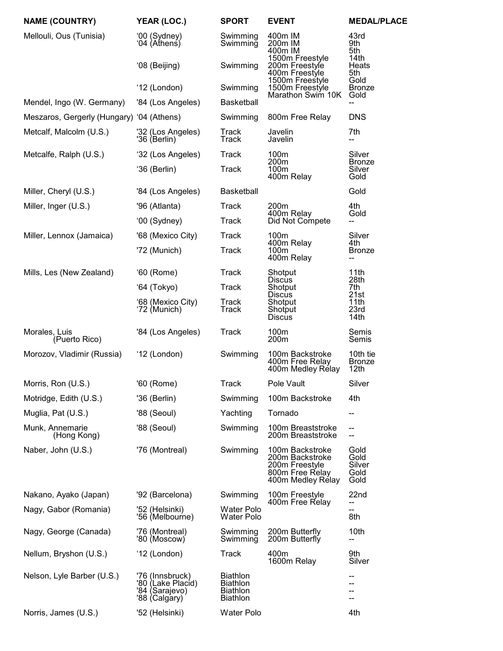| <b>NAME (COUNTRY)</b>                     | YEAR (LOC.)                                                             | <b>SPORT</b>                                                             | <b>EVENT</b>                                                                                 | <b>MEDAL/PLACE</b>                     |
|-------------------------------------------|-------------------------------------------------------------------------|--------------------------------------------------------------------------|----------------------------------------------------------------------------------------------|----------------------------------------|
| Mellouli, Ous (Tunisia)                   | '00 (Sydney)<br>'04 (Aṫhenṡ)                                            | Swimming<br>Swimming                                                     | 400m IM<br>200m IM<br>400m IM                                                                | 43rd<br>9th<br>5th                     |
|                                           | '08 (Beijing)                                                           | Swimming                                                                 | 1500m Freestyle<br>200m Freestyle<br>400m Freestyle                                          | 14th<br>Heats<br>5th                   |
|                                           | '12 (London)                                                            | Swimming                                                                 | 1500m Freestyle<br>1500m Freestyle<br>Marathon Swim 10K                                      | Gold<br><b>Bronze</b><br>Gold          |
| Mendel, Ingo (W. Germany)                 | '84 (Los Angeles)                                                       | <b>Basketball</b>                                                        |                                                                                              |                                        |
| Meszaros, Gergerly (Hungary) '04 (Athens) |                                                                         | Swimming                                                                 | 800m Free Relay                                                                              | <b>DNS</b>                             |
| Metcalf, Malcolm (U.S.)                   | '32 (Los Angeles)<br>'36 (Berlin)                                       | Track<br>Track                                                           | Javelin<br>Javelin                                                                           | 7th<br>--                              |
| Metcalfe, Ralph (U.S.)                    | '32 (Los Angeles)                                                       | Track                                                                    | 100m<br>200 <sub>m</sub>                                                                     | Silver<br><b>Bronze</b>                |
|                                           | '36 (Berlin)                                                            | <b>Track</b>                                                             | 100m<br>400m Relay                                                                           | Silver<br>Gold                         |
| Miller, Cheryl (U.S.)                     | '84 (Los Angeles)                                                       | <b>Basketball</b>                                                        |                                                                                              | Gold                                   |
| Miller, Inger (U.S.)                      | '96 (Atlanta)                                                           | Track                                                                    | 200m                                                                                         | 4th                                    |
|                                           | '00 (Sydney)                                                            | Track                                                                    | 400m Relay<br>Did Not Compete                                                                | Gold<br>--                             |
| Miller, Lennox (Jamaica)                  | '68 (Mexico City)                                                       | Track                                                                    | 100m                                                                                         | Silver                                 |
|                                           | '72 (Munich)                                                            | Track                                                                    | 400m Relay<br>100m<br>400m Relay                                                             | 4th<br><b>Bronze</b><br>--             |
| Mills, Les (New Zealand)                  | '60 (Rome)                                                              | <b>Track</b>                                                             | Shotput<br>Discus                                                                            | 11th<br>28th                           |
|                                           | '64 (Tokyo)                                                             | Track                                                                    | Shotput<br><b>Discus</b>                                                                     | 7th<br>21st                            |
|                                           | '68 (Mexico City)<br>'72 (Munich)                                       | Track<br>Track                                                           | Shotput<br>Shotput<br><b>Discus</b>                                                          | 11th<br>23rd<br>14th                   |
| Morales, Luis<br>(Puerto Rico)            | '84 (Los Angeles)                                                       | Track                                                                    | 100m<br>200 <sub>m</sub>                                                                     | Semis<br>Semis                         |
| Morozov, Vladimir (Russia)                | '12 (London)                                                            | Swimming                                                                 | 100m Backstroke<br>400m Free Relay<br>400m Medley Relay                                      | 10th tie<br><b>Bronze</b><br>12th      |
| Morris, Ron (U.S.)                        | '60 (Rome)                                                              | <b>Track</b>                                                             | Pole Vault                                                                                   | Silver                                 |
| Motridge, Edith (U.S.)                    | '36 (Berlin)                                                            | Swimming                                                                 | 100m Backstroke                                                                              | 4th                                    |
| Muglia, Pat (U.S.)                        | '88 (Seoul)                                                             | Yachting                                                                 | Tornado                                                                                      | --                                     |
| Munk, Annemarie<br>(Hong Kong)            | '88 (Seoul)                                                             | Swimming                                                                 | 100m Breaststroke<br>200m Breaststroke                                                       | --<br>--                               |
| Naber, John (U.S.)                        | '76 (Montreal)                                                          | Swimming                                                                 | 100m Backstroke<br>200m Backstroke<br>200m Freestyle<br>800m Free Relay<br>400m Medley Rélay | Gold<br>Gold<br>Silver<br>Gold<br>Gold |
| Nakano, Ayako (Japan)                     | '92 (Barcelona)                                                         | Swimming                                                                 | 100m Freestyle<br>400m Free Relay                                                            | 22nd                                   |
| Nagy, Gabor (Romania)                     | '52 (Helsinki)<br>'56 (Melbourne)                                       | <b>Water Polo</b><br>Water Polo                                          |                                                                                              | --<br>8th                              |
| Nagy, George (Canada)                     | '76 (Montreal)<br>'80 (Moscow)                                          | Swimming<br>Swimming                                                     | 200m Butterfly<br>200m Butterfly                                                             | 10th<br>--                             |
| Nellum, Bryshon (U.S.)                    | '12 (London)                                                            | Track                                                                    | 400m<br>1600m Relay                                                                          | 9th<br>Silver                          |
| Nelson, Lyle Barber (U.S.)                | '76 (Innsbruck)<br>'80 (Lake Placid)<br>'84 (Sarajevo)<br>'88 (Calgary) | <b>Biathlon</b><br><b>Biathlon</b><br><b>Biathlon</b><br><b>Biathlon</b> |                                                                                              | --<br>--                               |
| Norris, James (U.S.)                      | '52 (Helsinki)                                                          | Water Polo                                                               |                                                                                              | 4th                                    |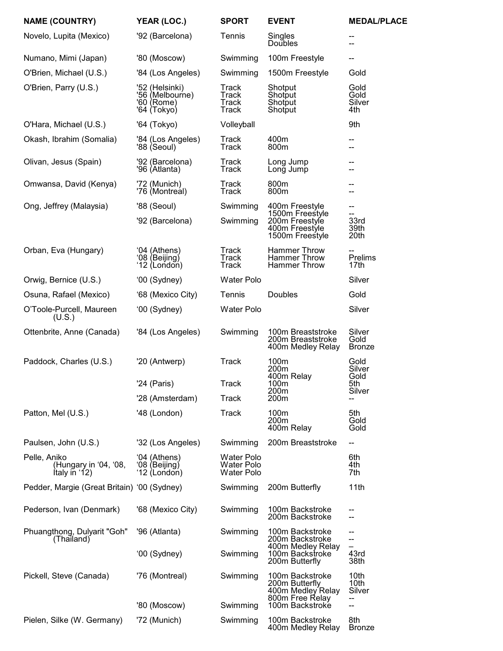| <b>NAME (COUNTRY)</b>                                  | YEAR (LOC.)                                                    | <b>SPORT</b>                                  | <b>EVENT</b>                                                              | <b>MEDAL/PLACE</b>                          |
|--------------------------------------------------------|----------------------------------------------------------------|-----------------------------------------------|---------------------------------------------------------------------------|---------------------------------------------|
| Novelo, Lupita (Mexico)                                | '92 (Barcelona)                                                | Tennis                                        | Singles<br><b>Doubles</b>                                                 | --                                          |
| Numano, Mimi (Japan)                                   | '80 (Moscow)                                                   | Swimming                                      | 100m Freestyle                                                            | --                                          |
| O'Brien, Michael (U.S.)                                | '84 (Los Angeles)                                              | Swimming                                      | 1500m Freestyle                                                           | Gold                                        |
| O'Brien, Parry (U.S.)                                  | '52 (Helsinki)<br>'56 (Melbourne)<br>'60 (Rome)<br>'64 (Tokyo) | Track<br>Track<br>Track<br><b>Track</b>       | Shotput<br>Shotput<br>Shotput<br>Shotput                                  | Gold<br>Gold<br>Silver<br>4th               |
| O'Hara, Michael (U.S.)                                 | '64 (Tokyo)                                                    | Volleyball                                    |                                                                           | 9th                                         |
| Okash, Ibrahim (Somalia)                               | '84 (Los Angeles)<br>'88 (Seoul)                               | Track<br>Track                                | 400m<br>800m                                                              | --<br>--                                    |
| Olivan, Jesus (Spain)                                  | '92 (Barcelona)<br>'96 (Atlanta)                               | Track<br>Track                                | Long Jump<br>Long Jump                                                    | --                                          |
| Omwansa, David (Kenya)                                 | '72 (Munich)<br>'76 (Montreal)                                 | Track<br>Track                                | 800m<br>800m                                                              | --                                          |
| Ong, Jeffrey (Malaysia)                                | '88 (Seoul)                                                    | Swimming                                      | 400m Freestyle<br>1500m Freestyle                                         | --                                          |
|                                                        | '92 (Barcelona)                                                | Swimming                                      | 200m Freestyle<br>400m Freestyle<br>1500m Freestyle                       | 33rd<br>39th<br>20th                        |
| Orban, Eva (Hungary)                                   | '04 (Athens)<br>'08 (Beijing)<br>'12 (London)                  | Track<br>Track<br><b>Track</b>                | <b>Hammer Throw</b><br><b>Hammer Throw</b><br><b>Hammer Throw</b>         | $\overline{\phantom{a}}$<br>Prelims<br>17th |
| Orwig, Bernice (U.S.)                                  | '00 (Sydney)                                                   | <b>Water Polo</b>                             |                                                                           | Silver                                      |
| Osuna, Rafael (Mexico)                                 | '68 (Mexico City)                                              | Tennis                                        | Doubles                                                                   | Gold                                        |
| O'Toole-Purcell, Maureen<br>(U.S.)                     | '00 (Sydney)                                                   | <b>Water Polo</b>                             |                                                                           | Silver                                      |
| Ottenbrite, Anne (Canada)                              | '84 (Los Angeles)                                              | Swimming                                      | 100m Breaststroke<br>200m Breaststroke<br>400m Medley Relay               | Silver<br>Gold<br><b>Bronze</b>             |
| Paddock, Charles (U.S.)                                | '20 (Antwerp)                                                  | <b>Track</b>                                  | 100m<br>200 <sub>m</sub>                                                  | Gold<br>Silver                              |
|                                                        | '24 (Paris)                                                    | Track                                         | 400m Relay<br>100m<br>200m                                                | Gold<br>5th<br>Silver                       |
|                                                        | '28 (Amsterdam)                                                | Track                                         | 200 <sub>m</sub>                                                          |                                             |
| Patton, Mel (U.S.)                                     | '48 (London)                                                   | <b>Track</b>                                  | 100m<br>200m<br>400m Relay                                                | 5th<br>Gold<br>Gold                         |
| Paulsen, John (U.S.)                                   | '32 (Los Angeles)                                              | Swimming                                      | 200m Breaststroke                                                         | --                                          |
| Pelle, Aniko<br>(Hungary in '04, '08,<br>ftaly in '12) | '04 (Athens)<br>'08 (Beijing)<br>'12 (London)                  | Water Polo<br>Water Polo<br><b>Water Polo</b> |                                                                           | 6th<br>4th<br>7th                           |
| Pedder, Margie (Great Britain) '00 (Sydney)            |                                                                | Swimming                                      | 200m Butterfly                                                            | 11th                                        |
| Pederson, Ivan (Denmark)                               | '68 (Mexico City)                                              | Swimming                                      | 100m Backstroke<br>200m Backstroke                                        | --                                          |
| Phuangthong, Dulyarit "Goh"<br>(Thailand)              | '96 (Atlanta)                                                  | Swimming                                      | 100m Backstroke<br>200m Backstroke<br>400m Medley Relay                   | --<br>--                                    |
|                                                        | '00 (Sydney)                                                   | Swimming                                      | 100m Backstroke<br>200m Butterfly                                         | 43rd<br>38th                                |
| Pickell, Steve (Canada)                                | '76 (Montreal)                                                 | Swimming                                      | 100m Backstroke<br>200m Butterfly<br>400m Medley Relay<br>800m Free Relay | 10th<br>10th<br>Silver<br>--                |
|                                                        | '80 (Moscow)                                                   | Swimming                                      | 100m Backstroke                                                           | --                                          |
| Pielen, Silke (W. Germany)                             | '72 (Munich)                                                   | Swimming                                      | 100m Backstroke<br>400m Medley Relay                                      | 8th<br><b>Bronze</b>                        |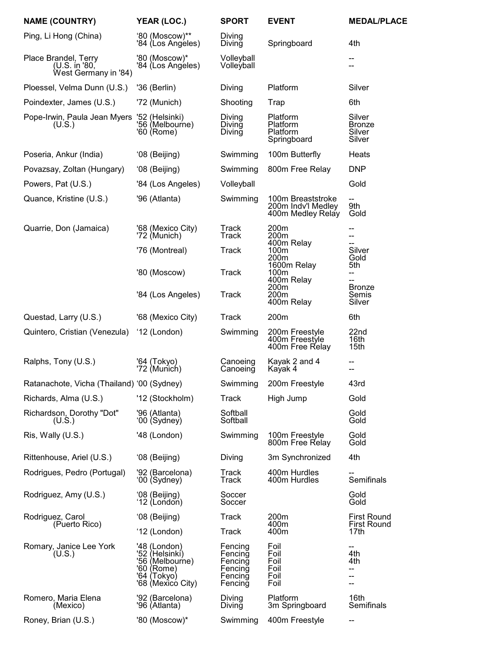| <b>NAME (COUNTRY)</b>                                         | YEAR (LOC.)                                                                                         | <b>SPORT</b>                                                   | <b>EVENT</b>                                                 | <b>MEDAL/PLACE</b>                          |
|---------------------------------------------------------------|-----------------------------------------------------------------------------------------------------|----------------------------------------------------------------|--------------------------------------------------------------|---------------------------------------------|
| Ping, Li Hong (China)                                         | '80 (Moscow)**<br>'84 (Los Angeles)                                                                 | Diving<br>Diving                                               | Springboard                                                  | 4th                                         |
| Place Brandel, Terry<br>(U.S. in '80,<br>West Germany in '84) | '80 (Moscow)*<br>'84 (Los Angéles)                                                                  | Volleyball<br>Volleyball                                       |                                                              |                                             |
| Ploessel, Velma Dunn (U.S.)                                   | '36 (Berlin)                                                                                        | Diving                                                         | Platform                                                     | Silver                                      |
| Poindexter, James (U.S.)                                      | '72 (Munich)                                                                                        | Shooting                                                       | Trap                                                         | 6th                                         |
| Pope-Irwin, Paula Jean Myers<br>(U.S.)                        | '52 (Helsinki)<br>'56 (Melbourne)<br>'60 (Rome)                                                     | Diving<br>Diving<br>Diving                                     | Platform<br>Platform<br>Platform<br>Springboard              | Silver<br><b>Bronze</b><br>Silver<br>Silver |
| Poseria, Ankur (India)                                        | '08 (Beijing)                                                                                       | Swimming                                                       | 100m Butterfly                                               | Heats                                       |
| Povazsay, Zoltan (Hungary)                                    | '08 (Beijing)                                                                                       | Swimming                                                       | 800m Free Relay                                              | <b>DNP</b>                                  |
| Powers, Pat (U.S.)                                            | '84 (Los Angeles)                                                                                   | Volleyball                                                     |                                                              | Gold                                        |
| Quance, Kristine (U.S.)                                       | '96 (Atlanta)                                                                                       | Swimming                                                       | 100m Breaststroke<br>200m Indv'l Medley<br>400m Medley Relay | 9th<br>Gold                                 |
| Quarrie, Don (Jamaica)                                        | '68 (Mexico City)<br>'72 (Munich)                                                                   | Track<br>Track                                                 | 200m<br>200m<br>400m Relay                                   | --<br>--<br>--                              |
|                                                               | '76 (Montreal)                                                                                      | Track                                                          | 100m<br>200m<br>1600m Relay                                  | Silver<br>Gold<br>5th                       |
|                                                               | '80 (Moscow)                                                                                        | <b>Track</b>                                                   | 100m<br>400m Relay<br>200m                                   | --<br><b>Bronze</b>                         |
|                                                               | '84 (Los Angeles)                                                                                   | <b>Track</b>                                                   | 200m<br>400m Relay                                           | Semis<br>Silver                             |
| Questad, Larry (U.S.)                                         | '68 (Mexico City)                                                                                   | <b>Track</b>                                                   | 200m                                                         | 6th                                         |
| Quintero, Cristian (Venezula)                                 | '12 (London)                                                                                        | Swimming                                                       | 200m Freestyle<br>400m Freestyle<br>400m Free Relay          | 22nd<br>16th<br>15th                        |
| Ralphs, Tony (U.S.)                                           | '64 (Tokyo)<br>'72 (Munich)                                                                         | Canoeing<br>Canoeing                                           | Kayak 2 and 4<br>Kayak 4                                     | --<br>--                                    |
| Ratanachote, Vicha (Thailand) '00 (Sydney)                    |                                                                                                     | Swimming                                                       | 200m Freestyle                                               | 43rd                                        |
| Richards, Alma (U.S.)                                         | '12 (Stockholm)                                                                                     | Track                                                          | High Jump                                                    | Gold                                        |
| Richardson, Dorothy "Dot"<br>(U.S.)                           | '96 (Atlanta)<br>'00 (Sydney)                                                                       | Softball<br>Softball                                           |                                                              | Gold<br>Gold                                |
| Ris, Wally (U.S.)                                             | '48 (London)                                                                                        | Swimming                                                       | 100m Freestyle<br>800m Free Relay                            | Gold<br>Gold                                |
| Rittenhouse, Ariel (U.S.)                                     | '08 (Beijing)                                                                                       | Diving                                                         | 3m Synchronized                                              | 4th                                         |
| Rodrigues, Pedro (Portugal)                                   | '92 (Barcelona)<br>'00 (Sydney)                                                                     | Track<br>Track                                                 | 400m Hurdles<br>400m Hurdles                                 | Semifinals                                  |
| Rodriguez, Amy (U.S.)                                         | '08 (Beijing)<br>'12 (London)                                                                       | Soccer<br>Soccer                                               |                                                              | Gold<br>Gold                                |
| Rodriguez, Carol<br>(Puerto Rico)                             | '08 (Beijing)                                                                                       | <b>Track</b>                                                   | 200m<br>400m                                                 | <b>First Round</b><br><b>First Round</b>    |
|                                                               | '12 (London)                                                                                        | Track                                                          | 400m                                                         | 17th                                        |
| Romary, Janice Lee York<br>(U.S.)                             | '48 (London)<br>'52 (Helsinkí)<br>'56 (Melbourne)<br>'60 (Rome)<br>'64 (Tokyo)<br>'68 (Mexicó City) | Fencing<br>Fencing<br>Fencing<br>Fencing<br>Fencing<br>Fencing | Foil<br>Foil<br>Foil<br>Foil<br>Foil<br>Foil                 | --<br>4th<br>4th<br>--<br>--<br>--          |
| Romero, Maria Elena<br>(Mexico)                               | '92 (Barcelona)<br>'96 (Atlanta)                                                                    | Diving<br>Diving                                               | Platform<br>3m Springboard                                   | 16th<br>Semifinals                          |
| Roney, Brian (U.S.)                                           | '80 (Moscow)*                                                                                       | Swimming                                                       | 400m Freestyle                                               | --                                          |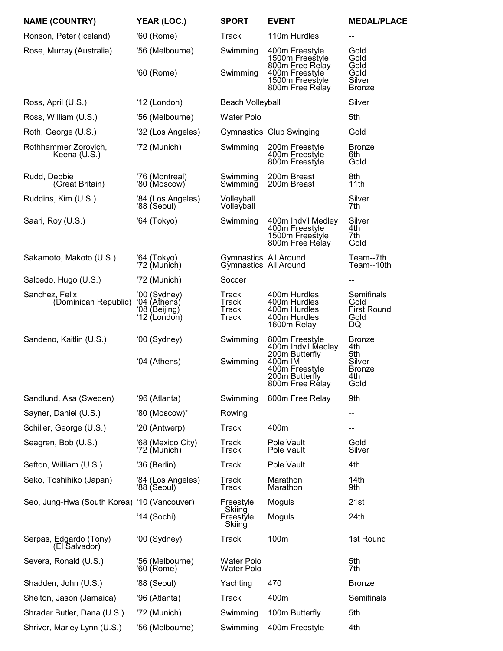| <b>NAME (COUNTRY)</b>                       | YEAR (LOC.)                                                   | <b>SPORT</b>                                   | <b>EVENT</b>                                                                                                             | <b>MEDAL/PLACE</b>                                                    |
|---------------------------------------------|---------------------------------------------------------------|------------------------------------------------|--------------------------------------------------------------------------------------------------------------------------|-----------------------------------------------------------------------|
| Ronson, Peter (Iceland)                     | '60 (Rome)                                                    | Track                                          | 110m Hurdles                                                                                                             | --                                                                    |
| Rose, Murray (Australia)                    | '56 (Melbourne)<br>'60 (Rome)                                 | Swimming<br>Swimming                           | 400m Freestyle<br>1500m Freestyle<br>800m Free Relay<br>400m Freestyle                                                   | Gold<br>Gold<br>Gold<br>Gold                                          |
|                                             |                                                               |                                                | 1500m Freestyle<br>800m Free Relay                                                                                       | Silver<br><b>Bronze</b>                                               |
| Ross, April (U.S.)                          | '12 (London)                                                  | <b>Beach Volleyball</b>                        |                                                                                                                          | Silver                                                                |
| Ross, William (U.S.)                        | '56 (Melbourne)                                               | <b>Water Polo</b>                              |                                                                                                                          | 5th                                                                   |
| Roth, George (U.S.)                         | '32 (Los Angeles)                                             |                                                | Gymnastics Club Swinging                                                                                                 | Gold                                                                  |
| Rothhammer Zorovich,<br>Keena (U.S.)        | '72 (Munich)                                                  | Swimming                                       | 200m Freestyle<br>400m Freestyle<br>800m Freestyle                                                                       | <b>Bronze</b><br>6th<br>Gold                                          |
| Rudd, Debbie<br>(Great Britain)             | '76 (Montreal)<br>'80 (Moscow)                                | Swimming<br>Swimming                           | 200m Breast<br>200m Breast                                                                                               | 8th<br>11th                                                           |
| Ruddins, Kim (U.S.)                         | '84 (Los Angeles)<br>'88 (Seoul)                              | Volleyball<br>Volleyball                       |                                                                                                                          | Silver<br>7th                                                         |
| Saari, Roy (U.S.)                           | '64 (Tokyo)                                                   | Swimming                                       | 400m Indv'l Medley<br>400m Freestyle<br>1500m Freestyle<br>800m Free Relay                                               | Silver<br>4th<br>7th<br>Gold                                          |
| Sakamoto, Makoto (U.S.)                     | '64 (Tokyo)<br>'72 (Munich)                                   | Gymnastics All Around<br>Gymnastics All Around |                                                                                                                          | Team--7th<br>Team--10th                                               |
| Salcedo, Hugo (U.S.)                        | '72 (Munich)                                                  | Soccer                                         |                                                                                                                          |                                                                       |
| Sanchez, Felix<br>(Dominican Republic)      | '00 (Sydney)<br>'04 (Athens)<br>'08 (Beijing)<br>'12 (London) | Track<br>Track<br>Track<br>Track               | 400m Hurdles<br>400m Hurdles<br>400m Hurdles<br>400m Hurdles<br>1600m Relay                                              | Semifinals<br>Gold<br><b>First Round</b><br>Gold<br>DQ                |
| Sandeno, Kaitlin (U.S.)                     | '00 (Sydney)<br>'04 (Athens)                                  | Swimming<br>Swimming                           | 800m Freestyle<br>400m Indv'l Medley<br>200m Butterfly<br>400m IM<br>400m Freestyle<br>200m Butterfly<br>800m Free Rélay | <b>Bronze</b><br>4th<br>5th<br>Silver<br><b>Bronze</b><br>4th<br>Gold |
| Sandlund, Asa (Sweden)                      | '96 (Atlanta)                                                 | Swimming                                       | 800m Free Relay                                                                                                          | 9th                                                                   |
| Sayner, Daniel (U.S.)                       | '80 (Moscow)*                                                 | Rowing                                         |                                                                                                                          |                                                                       |
| Schiller, George (U.S.)                     | '20 (Antwerp)                                                 | Track                                          | 400m                                                                                                                     | --                                                                    |
| Seagren, Bob (U.S.)                         | '68 (Mexico City)<br>'72 (Munich)                             | Track<br>Track                                 | Pole Vault<br>Pole Vault                                                                                                 | Gold<br>Silver                                                        |
| Sefton, William (U.S.)                      | '36 (Berlin)                                                  | Track                                          | Pole Vault                                                                                                               | 4th                                                                   |
| Seko, Toshihiko (Japan)                     | '84 (Los Angeles)<br>'88 (Seoul)                              | Track<br>Track                                 | Marathon<br>Marathon                                                                                                     | 14 <sub>th</sub><br>9th                                               |
| Seo, Jung-Hwa (South Korea) '10 (Vancouver) |                                                               | Freestyle<br>Skiing                            | Moguls                                                                                                                   | 21st                                                                  |
|                                             | '14 (Sochi)                                                   | Freestyle<br>Skiing                            | Moguls                                                                                                                   | 24th                                                                  |
| Serpas, Edgardo (Tony)<br>(El Salvador)     | '00 (Sydney)                                                  | Track                                          | 100m                                                                                                                     | 1st Round                                                             |
| Severa, Ronald (U.S.)                       | '56 (Melbourne)<br>'60 (Rome)                                 | <b>Water Polo</b><br><b>Water Polo</b>         |                                                                                                                          | 5th<br>7th                                                            |
| Shadden, John (U.S.)                        | '88 (Seoul)                                                   | Yachting                                       | 470                                                                                                                      | <b>Bronze</b>                                                         |
| Shelton, Jason (Jamaica)                    | '96 (Atlanta)                                                 | <b>Track</b>                                   | 400m                                                                                                                     | Semifinals                                                            |
| Shrader Butler, Dana (U.S.)                 | '72 (Munich)                                                  | Swimming                                       | 100m Butterfly                                                                                                           | 5th                                                                   |
| Shriver, Marley Lynn (U.S.)                 | '56 (Melbourne)                                               | Swimming                                       | 400m Freestyle                                                                                                           | 4th                                                                   |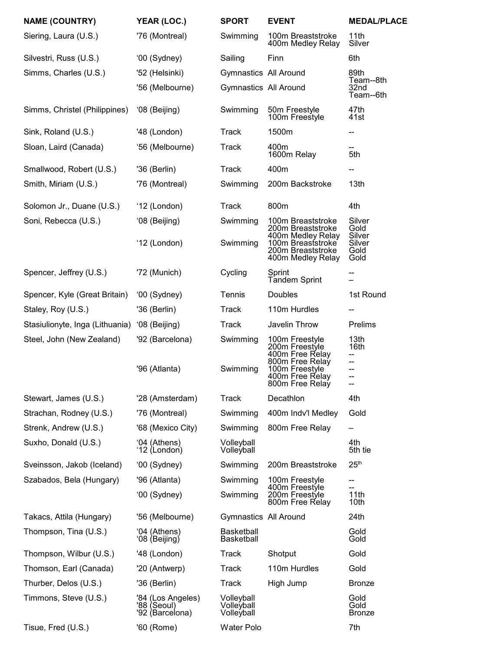| <b>NAME (COUNTRY)</b>           | YEAR (LOC.)                                         | <b>SPORT</b>                           | <b>EVENT</b>                                                                     | <b>MEDAL/PLACE</b>            |
|---------------------------------|-----------------------------------------------------|----------------------------------------|----------------------------------------------------------------------------------|-------------------------------|
| Siering, Laura (U.S.)           | '76 (Montreal)                                      | Swimming                               | 100m Breaststroke<br>400m Medley Relay                                           | 11th<br>Silver                |
| Silvestri, Russ (U.S.)          | '00 (Sydney)                                        | Sailing                                | Finn                                                                             | 6th                           |
| Simms, Charles (U.S.)           | '52 (Helsinki)                                      | Gymnastics All Around                  |                                                                                  | 89th<br>Team--8th             |
|                                 | '56 (Melbourne)                                     | Gymnastics All Around                  |                                                                                  | 32 <sub>nd</sub><br>Team--6th |
| Simms, Christel (Philippines)   | '08 (Beijing)                                       | Swimming                               | 50m Freestyle<br>100m Freestyle                                                  | 47th<br>41st                  |
| Sink, Roland (U.S.)             | '48 (London)                                        | <b>Track</b>                           | 1500m                                                                            | --                            |
| Sloan, Laird (Canada)           | '56 (Melbourne)                                     | Track                                  | 400m<br>1600m Relay                                                              | 5th                           |
| Smallwood, Robert (U.S.)        | '36 (Berlin)                                        | <b>Track</b>                           | 400m                                                                             |                               |
| Smith, Miriam (U.S.)            | '76 (Montreal)                                      | Swimming                               | 200m Backstroke                                                                  | 13th                          |
| Solomon Jr., Duane (U.S.)       | '12 (London)                                        | <b>Track</b>                           | 800m                                                                             | 4th                           |
| Soni, Rebecca (U.S.)            | '08 (Beijing)                                       | Swimming                               | 100m Breaststroke<br>200m Breaststroke                                           | Silver<br>Gold<br>Silver      |
|                                 | '12 (London)                                        | Swimming                               | 400m Medley Relay<br>100m Breaststroke<br>200m Breaststroke<br>400m Medley Relay | Silver<br>Gold<br>Gold        |
| Spencer, Jeffrey (U.S.)         | '72 (Munich)                                        | Cycling                                | Sprint<br><b>Tandem Sprint</b>                                                   |                               |
| Spencer, Kyle (Great Britain)   | '00 (Sydney)                                        | Tennis                                 | Doubles                                                                          | 1st Round                     |
| Staley, Roy (U.S.)              | '36 (Berlin)                                        | <b>Track</b>                           | 110m Hurdles                                                                     | --                            |
| Stasiulionyte, Inga (Lithuania) | '08 (Beijing)                                       | Track                                  | Javelin Throw                                                                    | Prelims                       |
| Steel, John (New Zealand)       | '92 (Barcelona)                                     | Swimming                               | 100m Freestyle<br>200m Freestyle<br>400m Free Relay                              | 13th<br>16th<br>--            |
|                                 | '96 (Atlanta)                                       | Swimming                               | 800m Free Relay<br>100m Freestyle<br>400m Free Relay<br>800m Free Relay          | --<br>--<br>--<br>--          |
| Stewart, James (U.S.)           | '28 (Amsterdam)                                     | <b>Track</b>                           | Decathlon                                                                        | 4th                           |
| Strachan, Rodney (U.S.)         | '76 (Montreal)                                      | Swimming                               | 400m Indv'l Medley                                                               | Gold                          |
| Strenk, Andrew (U.S.)           | '68 (Mexico City)                                   | Swimming                               | 800m Free Relay                                                                  |                               |
| Suxho, Donald (U.S.)            | '04 (Athens)<br>'12 (London)                        | Volleyball<br>Volleyball               |                                                                                  | 4th<br>5th tie                |
| Sveinsson, Jakob (Iceland)      | '00 (Sydney)                                        | Swimming                               | 200m Breaststroke                                                                | 25 <sup>th</sup>              |
| Szabados, Bela (Hungary)        | '96 (Atlanta)                                       | Swimming                               | 100m Freestyle<br>400m Freestyle                                                 | --                            |
|                                 | '00 (Sydney)                                        | Swimming                               | 200m Freestyle<br>800m Free Relay                                                | 11th<br>10th                  |
| Takacs, Attila (Hungary)        | '56 (Melbourne)                                     | Gymnastics All Around                  |                                                                                  | 24th                          |
| Thompson, Tina (U.S.)           | '04 (Athens)<br>'08 (Beijing)                       | <b>Basketball</b><br>Basketball        |                                                                                  | Gold<br>Gold                  |
| Thompson, Wilbur (U.S.)         | '48 (London)                                        | Track                                  | Shotput                                                                          | Gold                          |
| Thomson, Earl (Canada)          | '20 (Antwerp)                                       | Track                                  | 110m Hurdles                                                                     | Gold                          |
| Thurber, Delos (U.S.)           | '36 (Berlin)                                        | Track                                  | High Jump                                                                        | <b>Bronze</b>                 |
| Timmons, Steve (U.S.)           | '84 (Los Angeles)<br>'88 (Seoul)<br>'92 (Barcelona) | Volleyball<br>Volleyball<br>Volleyball |                                                                                  | Gold<br>Gold<br><b>Bronze</b> |
| Tisue, Fred (U.S.)              | '60 (Rome)                                          | <b>Water Polo</b>                      |                                                                                  | 7th                           |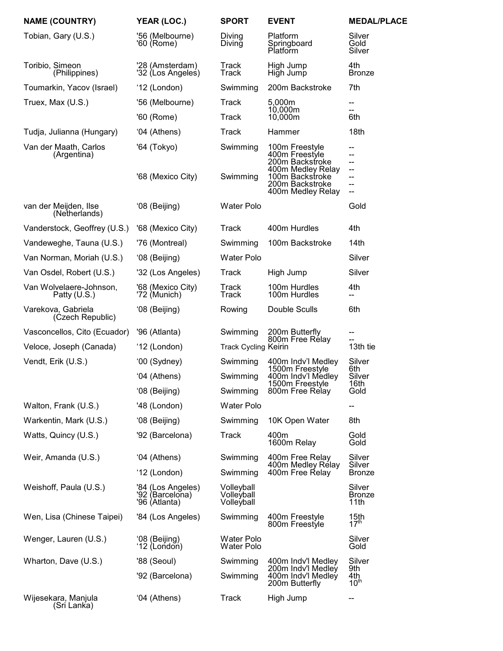| <b>NAME (COUNTRY)</b>                   | YEAR (LOC.)                                           | <b>SPORT</b>                           | <b>EVENT</b>                                                                 | <b>MEDAL/PLACE</b>                   |
|-----------------------------------------|-------------------------------------------------------|----------------------------------------|------------------------------------------------------------------------------|--------------------------------------|
| Tobian, Gary (U.S.)                     | '56 (Melbourne)<br>'60 (Rome)                         | Diving<br>Diving                       | Platform<br>Springboard<br>Platform                                          | Silver<br>Gold<br>Silver             |
| Toribio, Simeon<br>(Philippines)        | '28 (Amsterdam)<br>'32 (Los Angeles)                  | Track<br>Track                         | High Jump<br>High Jump                                                       | 4th<br><b>Bronze</b>                 |
| Toumarkin, Yacov (Israel)               | '12 (London)                                          | Swimming                               | 200m Backstroke                                                              | 7th                                  |
| Truex, Max (U.S.)                       | '56 (Melbourne)                                       | <b>Track</b>                           | 5,000m                                                                       | --                                   |
|                                         | '60 (Rome)                                            | Track                                  | 10,000m<br>10,000m                                                           | $- -$<br>6th                         |
| Tudja, Julianna (Hungary)               | '04 (Athens)                                          | Track                                  | Hammer                                                                       | 18th                                 |
| Van der Maath, Carlos<br>(Argentina)    | '64 (Tokyo)                                           | Swimming                               | 100m Freestyle<br>400m Freestyle<br>200m Backstroke                          | --                                   |
|                                         | '68 (Mexico City)                                     | Swimming                               | 400m Medley Relay<br>100m Backstroke<br>200m Backstroke<br>400m Medley Relay | --<br>--<br>--                       |
| van der Meijden, Ilse<br>(Netherlands)  | '08 (Beijing)                                         | <b>Water Polo</b>                      |                                                                              | Gold                                 |
| Vanderstock, Geoffrey (U.S.)            | '68 (Mexico City)                                     | Track                                  | 400m Hurdles                                                                 | 4th                                  |
| Vandeweghe, Tauna (U.S.)                | '76 (Montreal)                                        | Swimming                               | 100m Backstroke                                                              | 14 <sub>th</sub>                     |
| Van Norman, Moriah (U.S.)               | '08 (Beijing)                                         | <b>Water Polo</b>                      |                                                                              | Silver                               |
| Van Osdel, Robert (U.S.)                | '32 (Los Angeles)                                     | Track                                  | High Jump                                                                    | Silver                               |
| Van Wolvelaere-Johnson,<br>Patty (U.S.) | '68 (Mexico City)<br>'72 (Munich)                     | Track<br>Track                         | 100m Hurdles<br>100m Hurdles                                                 | 4th                                  |
| Varekova, Gabriela<br>(Czech Republic)  | '08 (Beijing)                                         | Rowing                                 | Double Sculls                                                                | 6th                                  |
| Vasconcellos, Cito (Ecuador)            | '96 (Atlanta)                                         | Swimming                               | 200m Butterfly<br>800m Free Relay                                            | --                                   |
| Veloce, Joseph (Canada)                 | '12 (London)                                          | <b>Track Cycling Keirin</b>            |                                                                              | 13th tie                             |
| Vendt, Erik (U.S.)                      | '00 (Sydney)                                          | Swimming                               | 400m Indv'l Medley<br>1500m Freestyle                                        | Silver<br>6th                        |
|                                         | '04 (Athens)                                          | Swimming                               | 400m Indv'l Medley<br>1500m Freestyle                                        | Silver<br>16th                       |
|                                         | '08 (Beijing)                                         | Swimming                               | 800m Free Relay                                                              | Gold                                 |
| Walton, Frank (U.S.)                    | '48 (London)                                          | <b>Water Polo</b>                      |                                                                              | --                                   |
| Warkentin, Mark (U.S.)                  | '08 (Beijing)                                         | Swimming                               | 10K Open Water                                                               | 8th                                  |
| Watts, Quincy (U.S.)                    | '92 (Barcelona)                                       | <b>Track</b>                           | 400m<br>1600m Relay                                                          | Gold<br>Gold                         |
| Weir, Amanda (U.S.)                     | '04 (Athens)                                          | Swimming                               | 400m Free Relay<br>400m Medley Rélay                                         | Silver<br>Silver                     |
|                                         | '12 (London)                                          | Swimming                               | 400m Free Relay                                                              | <b>Bronze</b>                        |
| Weishoff, Paula (U.S.)                  | '84 (Los Angeles)<br>'92 (Barcelona)<br>'96 (Atlanta) | Volleyball<br>Volleyball<br>Volleyball |                                                                              | Silver<br><b>Bronze</b><br>11th      |
| Wen, Lisa (Chinese Taipei)              | '84 (Los Angeles)                                     | Swimming                               | 400m Freestyle<br>800m Freestyle                                             | 15 <sub>th</sub><br>$17^{\text{th}}$ |
| Wenger, Lauren (U.S.)                   | '08 (Beijing)<br>'12 (London)                         | <b>Water Polo</b><br><b>Water Polo</b> |                                                                              | Silver<br>Gold                       |
| Wharton, Dave (U.S.)                    | '88 (Seoul)                                           | Swimming                               | 400m Indv'l Medley                                                           | Silver                               |
|                                         | '92 (Barcelona)                                       | Swimming                               | 200m Indv'l Medley<br>400m Indv'l Medley<br>200m Butterfly                   | 9th<br>4th<br>10 <sup>th</sup>       |
| Wijesekara, Manjula<br>(Sri Lanka)      | '04 (Athens)                                          | <b>Track</b>                           | High Jump                                                                    | --                                   |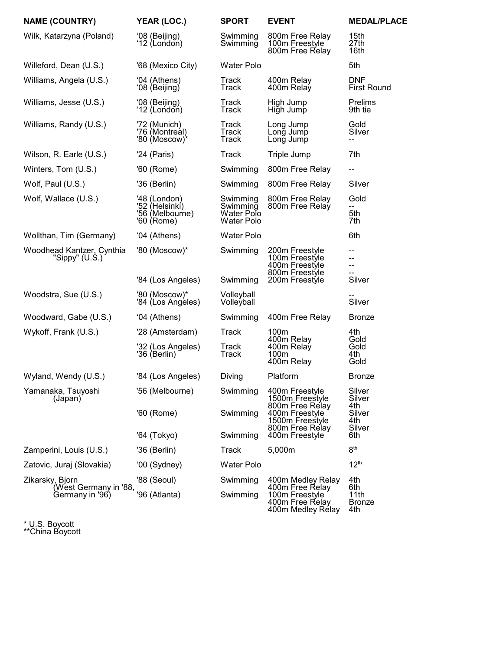| <b>NAME (COUNTRY)</b>                         | YEAR (LOC.)                                                     | <b>SPORT</b>                                     | <b>EVENT</b>                                                            | <b>MEDAL/PLACE</b>               |
|-----------------------------------------------|-----------------------------------------------------------------|--------------------------------------------------|-------------------------------------------------------------------------|----------------------------------|
| Wilk, Katarzyna (Poland)                      | '08 (Beijing)<br>'12 (London)                                   | Swimming<br>Swimming                             | 800m Free Relay<br>100m Freestyle<br>800m Free Relay                    | 15th<br>27th<br>16th             |
| Willeford, Dean (U.S.)                        | '68 (Mexico City)                                               | <b>Water Polo</b>                                |                                                                         | 5th                              |
| Williams, Angela (U.S.)                       | '04 (Athens)<br>'08 (Beijing)                                   | Track<br>Track                                   | 400m Relay<br>400m Relay                                                | <b>DNF</b><br><b>First Round</b> |
| Williams, Jesse (U.S.)                        | '08 (Beijing)<br>'12 (London)                                   | Track<br>Track                                   | High Jump<br>High Jump                                                  | Prelims<br>9th tie               |
| Williams, Randy (U.S.)                        | '72 (Munich)<br>'76 (Montreal)<br>'80 (Moscow)*                 | Track<br>Track<br><b>Track</b>                   | Long Jump<br>Long Jump<br>Long Jump                                     | Gold<br>Silver<br>--             |
| Wilson, R. Earle (U.S.)                       | '24 (Paris)                                                     | Track                                            | Triple Jump                                                             | 7th                              |
| Winters, Tom (U.S.)                           | '60 (Rome)                                                      | Swimming                                         | 800m Free Relay                                                         | --                               |
| Wolf, Paul (U.S.)                             | '36 (Berlin)                                                    | Swimming                                         | 800m Free Relay                                                         | Silver                           |
| Wolf, Wallace (U.S.)                          | '48 (London)<br>'52 (Helsinkí)<br>'56 (Melbourne)<br>'60 (Rome) | Swimming<br>Swimming<br>Water Polo<br>Water Polo | 800m Free Relay<br>800m Free Relay                                      | Gold<br>5th<br>7th               |
| Wollthan, Tim (Germany)                       | '04 (Athens)                                                    | <b>Water Polo</b>                                |                                                                         | 6th                              |
| Woodhead Kantzer, Cynthia<br>"Sippy" $(U.S.)$ | '80 (Moscow)*                                                   | Swimming                                         | 200m Freestyle<br>100m Freestyle<br>400m Freestyle<br>800m Freestyle    | --<br>--<br>--<br>--             |
|                                               | '84 (Los Angeles)                                               | Swimming                                         | 200m Freestyle                                                          | Silver                           |
| Woodstra, Sue (U.S.)                          | '80 (Moscow)*<br>'84 (Los Angéles)                              | Volleyball<br>Volleyball                         |                                                                         | Silver                           |
| Woodward, Gabe (U.S.)                         | '04 (Athens)                                                    | Swimming                                         | 400m Free Relay                                                         | <b>Bronze</b>                    |
| Wykoff, Frank (U.S.)                          | '28 (Amsterdam)                                                 | Track                                            | 100m<br>400m Relay                                                      | 4th<br>Gold                      |
|                                               | '32 (Los Angeles)<br>'36 (Berlin)                               | Track<br>Track                                   | 400m Relay<br>100m<br>400m Relay                                        | Gold<br>4th<br>Gold              |
| Wyland, Wendy (U.S.)                          | '84 (Los Angeles)                                               | Diving                                           | Platform                                                                | <b>Bronze</b>                    |
| Yamanaka, Tsuyoshi<br>(Japan)                 | '56 (Melbourne)                                                 | Swimming                                         | 400m Freestyle<br>1500m Freestyle                                       | Silver<br>Silver<br>4th          |
|                                               | '60 (Rome)                                                      | Swimming                                         | 800m Free Relay<br>400m Freestyle<br>1500m Freestyle<br>800m Free Relay | Silver<br>4th<br>Silver          |
|                                               | '64 (Tokyo)                                                     | Swimming                                         | 400m Freestyle                                                          | 6th                              |
| Zamperini, Louis (U.S.)                       | '36 (Berlin)                                                    | Track                                            | 5,000m                                                                  | 8 <sup>th</sup>                  |
| Zatovic, Juraj (Slovakia)                     | '00 (Sydney)                                                    | <b>Water Polo</b>                                |                                                                         | 12 <sup>th</sup>                 |
| Zikarsky, Bjorn<br>(West Germany in '88,      | '88 (Seoul)                                                     | Swimming                                         | 400m Medley Relay<br>400m Free Relay                                    | 4th<br>6th                       |
| Germany in '96)                               | '96 (Atlanta)                                                   | Swimming                                         | 100m Freestyle<br>400m Free Relay<br>400m Medley Rélay                  | 11th<br><b>Bronze</b><br>4th     |

\* U.S. Boycott \*\*China Boycott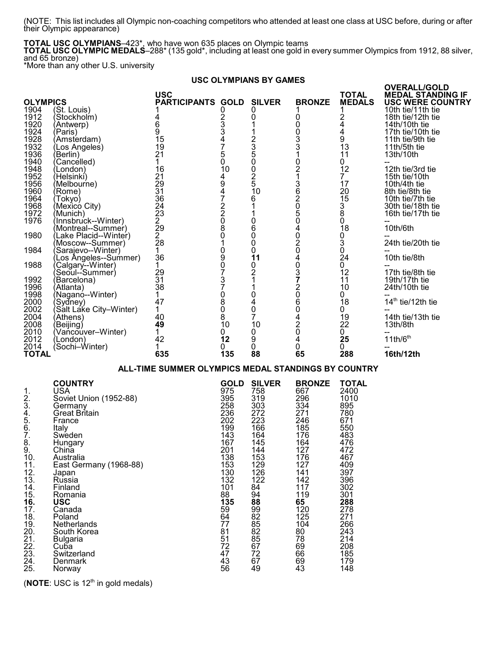(NOTE: This list includes all Olympic non-coaching competitors who attended at least one class at USC before, during or after their Olympic appearance)

**TOTAL USC OLYMPIANS**–423\*, who have won 635 places on Olympic teams

**TOTAL USC OLYMPIC MEDALS**–288\* (135 gold\*, including at least one gold in every summer Olympics from 1912, 88 silver, and 65 bronze)

\*More than any other U.S. university

#### **USC OLYMPIANS BY GAMES**

| <b>OLYMPICS</b><br>1904<br>1912<br>1920<br>1924<br>1928<br>1932<br>1936<br>1940<br>1948<br>1952<br>1956<br>1960<br>1964<br>1968<br>1972<br>1976<br>1980<br>1984<br>1988<br>1992<br>1996<br>1998<br>2000<br>2002<br>2004 | (St. Louis)<br>(Stockholm)<br>(Antwerp)<br>(Paris)<br>(Amsterdam)<br>(Los Angeles)<br>(Berlin)<br>(Cancélled)<br>(London)<br>(Helsinkí)<br>(Melbourne)<br>(Rome)<br>(Tokyo)<br>(Mexicó City)<br>(Munich)<br>(Innsbruck--Winter)<br>(Montreal--Summer)<br>(Lake Placid--Winter)<br>(Moscow--Summer)<br>(Sarajevo--Winter) ´<br>(Los Angeles--Summer)<br>(Calgary--Winter)<br>Seoul--Summer)<br>(Barcelona)<br>(Atlanta)<br>(Naganó--Winter)<br>(Sydney)<br>(Salt Lake City–Winter)<br>(Athens) | <b>USC</b><br><b>PARTICIPANTS GOLD</b><br>4<br>$\overline{6}$<br>$\tilde{9}$<br>15<br>19<br>21<br>1<br>16<br>21<br>29<br>31<br>36<br>24<br>$\overline{2}3$<br>2<br>$\overline{2}9$<br>$\frac{2}{28}$<br>1<br>36<br>1<br>29<br>31<br>38<br>1<br>47<br>1<br>40 | 02334750<br>10<br>49472208<br>Ō<br>$\overline{1}$<br>090737080<br>$\check{8}$                                                                                                           | <b>SILVER</b><br>0<br>0<br>1<br>1<br>2350<br>Ō<br>2<br>5<br>10<br>6<br>1<br>1<br>0<br>6<br>0<br>0<br>0<br>11<br>0<br>$\overline{2}$<br>1<br>1<br>0<br>4<br>Ó<br>$\overline{7}$                                                      | <b>BRONZE</b><br>1<br>0 0 0 3<br>3 3 3 1<br>021362050402040372060420                                                                                                                   | <b>TOTAL</b><br><b>MEDALS</b><br>1<br>$^{2}_{4}_{4}$<br>9<br>13<br>11<br>0<br>12<br>$\overline{7}$<br>17<br>20<br>$\overline{15}$<br>$\frac{3}{8}$<br>Ŏ<br>18<br>0<br>$\overline{3}$<br>Ō<br>24<br>0<br>12<br>11<br>10<br>0<br>18<br>0<br>19 | <b>OVERALL/GOLD</b><br><b>MEDAL STANDING IF</b><br><b>USC WERE COUNTRY</b><br>10th tie/11th tie<br>18th tie/12th tie<br>14th/10th tie<br>17th tie/10th tie<br>11th tie/9th tie<br>11th/5th tie<br>13th/10th<br>12th tie/3rd tie<br>15th tie/10th<br>10th/4th tie<br>8th tie/8th tie<br>10th tie/7th tie<br>30th tie/18th tie<br>16th tie/17th tie<br>10th/6th<br>24th tie/20th tie<br>10th tie/8th<br>17th tie/8th tie<br>19th/17th tie<br>24th/10th tie<br>14th tie/12th tie<br>14th tie/13th tie |
|-------------------------------------------------------------------------------------------------------------------------------------------------------------------------------------------------------------------------|-----------------------------------------------------------------------------------------------------------------------------------------------------------------------------------------------------------------------------------------------------------------------------------------------------------------------------------------------------------------------------------------------------------------------------------------------------------------------------------------------|--------------------------------------------------------------------------------------------------------------------------------------------------------------------------------------------------------------------------------------------------------------|-----------------------------------------------------------------------------------------------------------------------------------------------------------------------------------------|-------------------------------------------------------------------------------------------------------------------------------------------------------------------------------------------------------------------------------------|----------------------------------------------------------------------------------------------------------------------------------------------------------------------------------------|----------------------------------------------------------------------------------------------------------------------------------------------------------------------------------------------------------------------------------------------|----------------------------------------------------------------------------------------------------------------------------------------------------------------------------------------------------------------------------------------------------------------------------------------------------------------------------------------------------------------------------------------------------------------------------------------------------------------------------------------------------|
| 2008<br>2010<br>2012                                                                                                                                                                                                    | (Beijing)<br>(Vańcouver–Winter)<br>(London)                                                                                                                                                                                                                                                                                                                                                                                                                                                   | 49<br>1.<br>42                                                                                                                                                                                                                                               | 10<br>0<br>12                                                                                                                                                                           | 10<br>0<br>9                                                                                                                                                                                                                        | 4                                                                                                                                                                                      | 22<br>0<br>25                                                                                                                                                                                                                                | 13th/8th<br>11th/6 <sup>th</sup>                                                                                                                                                                                                                                                                                                                                                                                                                                                                   |
| 2014<br><b>TOTAL</b>                                                                                                                                                                                                    | (Sochi–Winter)                                                                                                                                                                                                                                                                                                                                                                                                                                                                                | 1<br>635                                                                                                                                                                                                                                                     | 0<br>135                                                                                                                                                                                | 0<br>88                                                                                                                                                                                                                             | 0<br>65                                                                                                                                                                                | 0<br>288                                                                                                                                                                                                                                     | 16th/12th                                                                                                                                                                                                                                                                                                                                                                                                                                                                                          |
|                                                                                                                                                                                                                         |                                                                                                                                                                                                                                                                                                                                                                                                                                                                                               | ALL-TIME SUMMER OLYMPICS MEDAL STANDINGS BY COUNTRY                                                                                                                                                                                                          |                                                                                                                                                                                         |                                                                                                                                                                                                                                     |                                                                                                                                                                                        |                                                                                                                                                                                                                                              |                                                                                                                                                                                                                                                                                                                                                                                                                                                                                                    |
| 1.<br>$\frac{2}{3}$<br>4.<br>5.<br>6.<br>7.<br>8.<br>9.<br>10.<br>11.<br>12.13.<br>14.15.<br>16.17.<br>$\frac{18}{19}$ .<br>20.<br>21.<br>22.<br>23.<br>24.                                                             | <b>COUNTRY</b><br><b>USA</b><br>Soviet Union (1952-88)<br>Germany<br>Great Britain<br>France<br>Italy<br>Sweden<br>Hungary<br>China<br>Australia<br>East Germany (1968-88)<br>Japan<br>Russia<br>Finland<br>Romania<br><b>USC</b><br>Canada<br>Poland<br>Netherlands<br>South Korea<br><b>Bulgaria</b><br>Cuba<br>Switzerland<br>Denmark                                                                                                                                                      |                                                                                                                                                                                                                                                              | <b>GOLD</b><br>975<br>395<br>258<br>236<br>202<br>199<br>143<br>167<br>201<br>138<br>153<br>130<br>132<br>101<br>88<br>135<br>59<br>64<br>77<br>81<br>$\overline{51}$<br>72<br>47<br>43 | <b>SILVER</b><br>758<br>319<br>303<br>$\overline{272}$<br>223<br>166<br>164<br>145<br>144<br>153<br>129<br>126<br>122<br>84<br>94<br>88<br>99<br>82<br>85<br>82<br>85<br>$\overline{67}$<br>$\begin{array}{c} 72 \\ 67 \end{array}$ | <b>BRONZE</b><br>667<br>296<br>334<br>271<br>246<br>185<br>176<br>164<br>127<br>176<br>127<br>141<br>$\frac{142}{117}$<br>119<br>65<br>120<br>125<br>104<br>80<br>78<br>69<br>66<br>69 | <b>TOTAL</b><br>2400<br>1010<br>895<br>780<br>671<br>550<br>483<br>476<br>472<br>467<br>409<br>397<br>396<br>302<br>301<br>288<br>278<br>271<br>266<br>243<br>214<br>208<br>185<br>179                                                       |                                                                                                                                                                                                                                                                                                                                                                                                                                                                                                    |

25. Norway 56 49 43 148

(**NOTE**: USC is 12<sup>th</sup> in gold medals)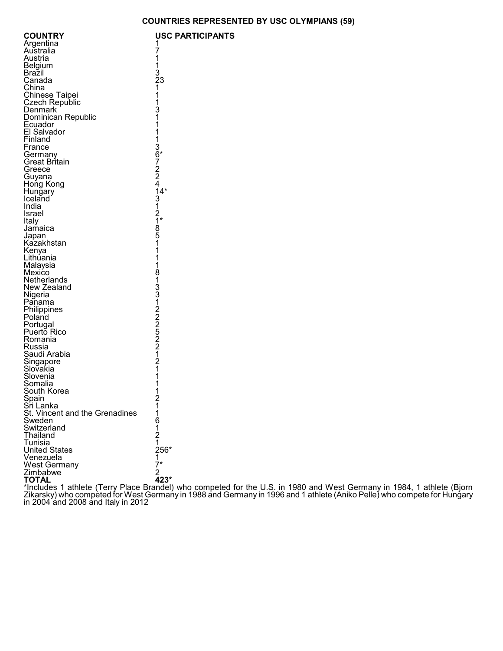|  | USC PARTICIPANTS |  |  |  |
|--|------------------|--|--|--|
|--|------------------|--|--|--|

| <b>COUNTRY</b>                   | <b>USC</b>                                              |
|----------------------------------|---------------------------------------------------------|
| Argentina                        |                                                         |
| Australia                        |                                                         |
| Austria                          |                                                         |
| Belgium                          |                                                         |
| Brazil                           |                                                         |
| Canada                           |                                                         |
| China                            |                                                         |
| <b>Chinese Taipei</b>            |                                                         |
| <b>Czech Republic</b><br>Denmark |                                                         |
| Dominican Republic               |                                                         |
| Ecuador                          |                                                         |
| El Salvador                      |                                                         |
| Finland                          |                                                         |
| France                           |                                                         |
| Germany                          |                                                         |
| Great Britain                    |                                                         |
| Greece                           |                                                         |
| Guyana                           |                                                         |
| Hong Kong                        |                                                         |
| Hungary                          |                                                         |
| Iceland                          |                                                         |
| India                            |                                                         |
| Israel                           |                                                         |
| Italy<br>Jamaica                 |                                                         |
| Japan                            |                                                         |
| Kazakhstan                       | 1711321113111136722413121851111813312205221211112171133 |
| Kenya                            |                                                         |
| Lithuania                        |                                                         |
| Malaysia                         |                                                         |
| Mexico                           |                                                         |
| Netherlands                      |                                                         |
| New Zealand                      |                                                         |
| Nigeria                          |                                                         |
| Panama<br>Philippines            |                                                         |
| Poland                           |                                                         |
| Portugal                         |                                                         |
| Puerto Rico                      |                                                         |
| Romania                          |                                                         |
| Russia                           |                                                         |
| Saudi Arabia                     |                                                         |
| Singapore                        |                                                         |
| Sloṽakia                         |                                                         |
| Slovenia                         |                                                         |
| Somalia<br>South Korea           |                                                         |
|                                  |                                                         |
| Spain<br>Sri Lanka               |                                                         |
| St. Vincent and the Grenadines   |                                                         |
| Sweden                           |                                                         |
| Switzerland                      |                                                         |
| Thailand                         |                                                         |
| Tunisia                          |                                                         |
| <b>United States</b>             |                                                         |
| Venezuela                        |                                                         |
| <b>West Germany</b><br>Zimbabwe  |                                                         |
| TOTAL                            | 11612<br>1216*<br>17*<br>2423*                          |
|                                  |                                                         |

\*Includes 1 athlete (Terry Place Brandel) who competed for the U.S. in 1980 and West Germany in 1984, 1 athlete (Bjorn Zikarsky) who competed for West Germany in 1988 and Germany in 1996 and 1 athlete (Aniko Pelle) who compete for Hungary in 2004 and 2008 and Italy in 2012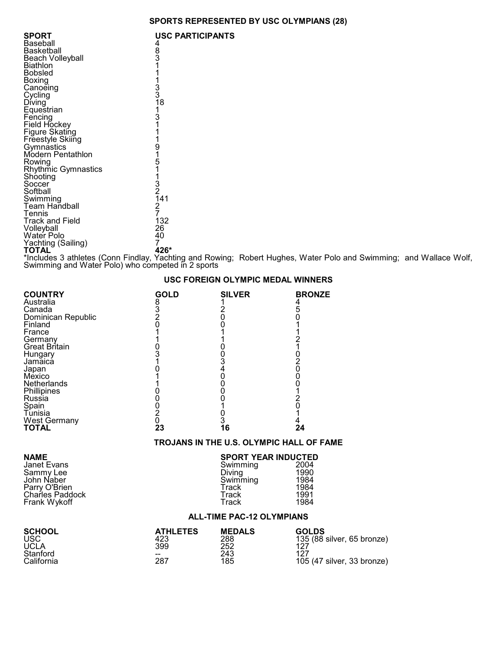## **SPORTS REPRESENTED BY USC OLYMPIANS (28)**

| SPORT<br>Baseball               | <b>USC PARTICIPANTS</b>                                                                    |
|---------------------------------|--------------------------------------------------------------------------------------------|
| Basketball                      | 483<br>31                                                                                  |
| Beach Volleyball                |                                                                                            |
| Biathlon                        |                                                                                            |
| Bobsled<br>Boxing               |                                                                                            |
| Canoeing                        |                                                                                            |
| Cycling                         | $\begin{array}{c}\n1 \\ 1 \\ 3 \\ 3 \\ 18\n\end{array}$                                    |
| Diving                          |                                                                                            |
| Equestrian<br>Fencing           | 1<br>3<br>1                                                                                |
| Field Hockey                    |                                                                                            |
| <b>Figure Skating</b>           | $\begin{array}{c}\n 1 \\  1 \\  9 \\  1 \\  5 \\  1 \\  3 \\  2 \\  1 \\  4\n \end{array}$ |
| Freestyle Skiing                |                                                                                            |
| Gymnastics<br>Modern Pentathlon |                                                                                            |
| Rowing                          |                                                                                            |
| Rhythmic Gymnastics             |                                                                                            |
| Shooting                        |                                                                                            |
| Soccer<br>Softball              |                                                                                            |
| Swimming                        |                                                                                            |
| <b>Team Handball</b>            | $\frac{2}{7}$                                                                              |
| Tennis                          |                                                                                            |
| <b>Track and Field</b>          | 132                                                                                        |
| Volleyball<br>Water Polo        | 26<br>40                                                                                   |
| Yachting (Sailing)              | 7                                                                                          |
| <b>TOTAL</b>                    | 426*                                                                                       |

\*Includes 3 athletes (Conn Findlay, Yachting and Rowing; Robert Hughes, Water Polo and Swimming; and Wallace Wolf, Swimming and Water Polo) who competed in 2 sports

| <b>COUNTRY</b><br>Australia | <b>GOLD</b> | <b>SILVER</b> | <b>BRONZE</b> |
|-----------------------------|-------------|---------------|---------------|
| Canada                      |             |               |               |
| Dominican Republic          |             |               |               |
| Finland                     |             |               |               |
| France                      |             |               |               |
| Germany                     |             |               |               |
| Great Britain               |             |               |               |
| Hungary                     |             |               |               |
| Jamaica                     |             |               |               |
| Japan                       |             |               |               |
| Mexico                      |             |               |               |
| Netherlands                 |             |               |               |
| Phillipines                 |             |               |               |
| Russia                      |             |               |               |
| Spain                       |             |               |               |
| Tunisia                     |             |               |               |
| West Germany                |             |               |               |
| TOTAL                       | 23          | 6             | 24            |

### **USC FOREIGN OLYMPIC MEDAL WINNERS**

### **TROJANS IN THE U.S. OLYMPIC HALL OF FAME**

| NAME<br>Janet Evans<br>Sammy Lee<br>John Naber<br>Parry O'Brien<br>Charles Paddock<br>Frank Wykoff | <b>SPORT YEAR INDUCTED</b><br>Swimming<br>Diving<br>Swimming<br>Track<br>Track<br>Track | 2004<br>1990<br>1984<br>1984<br>1991<br>1984 |  |
|----------------------------------------------------------------------------------------------------|-----------------------------------------------------------------------------------------|----------------------------------------------|--|
|                                                                                                    | <b>ALL-TIME PAC-12 OLYMPIANS</b>                                                        |                                              |  |

| SCHOOL     | <b>ATHLETES</b> | <b>MEDALS</b> | <b>GOLDS</b>               |
|------------|-----------------|---------------|----------------------------|
| USC        | 423             | 288           | 135 (88 silver, 65 bronze) |
| UCLA       | 399             | 252           | 197                        |
| Stanford   | --              | 243           | 127                        |
| California | 287             | 185           | 105 (47 silver, 33 bronze) |